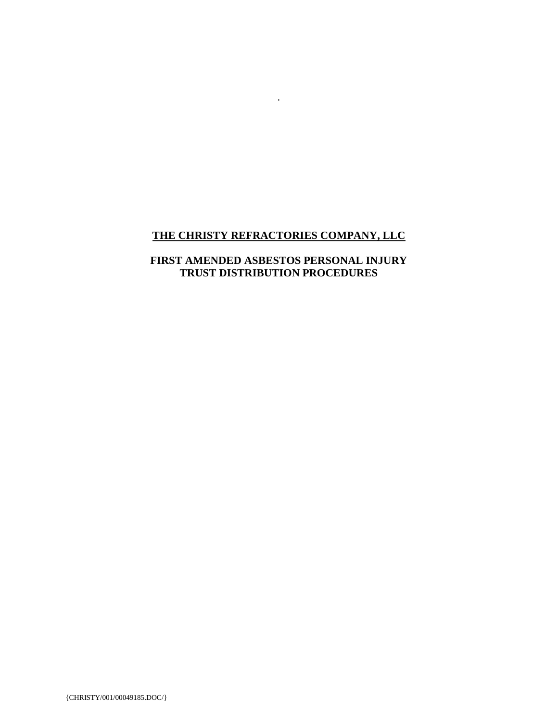# **THE CHRISTY REFRACTORIES COMPANY, LLC**

.

## **FIRST AMENDED ASBESTOS PERSONAL INJURY TRUST DISTRIBUTION PROCEDURES**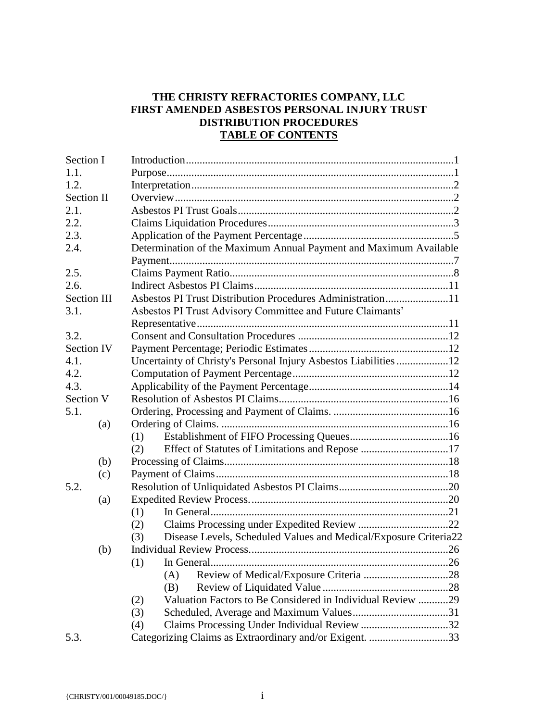## **THE CHRISTY REFRACTORIES COMPANY, LLC FIRST AMENDED ASBESTOS PERSONAL INJURY TRUST DISTRIBUTION PROCEDURES TABLE OF CONTENTS**

| Section I          |                                                                         |  |  |
|--------------------|-------------------------------------------------------------------------|--|--|
| 1.1.               |                                                                         |  |  |
| 1.2.               |                                                                         |  |  |
| <b>Section II</b>  |                                                                         |  |  |
| 2.1.               |                                                                         |  |  |
| 2.2.               |                                                                         |  |  |
| 2.3.               |                                                                         |  |  |
| 2.4.               | Determination of the Maximum Annual Payment and Maximum Available       |  |  |
|                    |                                                                         |  |  |
| 2.5.               |                                                                         |  |  |
| 2.6.               |                                                                         |  |  |
| <b>Section III</b> | Asbestos PI Trust Distribution Procedures Administration11              |  |  |
| 3.1.               | Asbestos PI Trust Advisory Committee and Future Claimants'              |  |  |
|                    |                                                                         |  |  |
| 3.2.               |                                                                         |  |  |
| Section IV         |                                                                         |  |  |
| 4.1.               | Uncertainty of Christy's Personal Injury Asbestos Liabilities 12        |  |  |
| 4.2.               |                                                                         |  |  |
| 4.3.               |                                                                         |  |  |
| Section V          |                                                                         |  |  |
| 5.1.               |                                                                         |  |  |
| (a)                |                                                                         |  |  |
|                    | (1)                                                                     |  |  |
|                    | (2)                                                                     |  |  |
| (b)                |                                                                         |  |  |
| (c)                |                                                                         |  |  |
| 5.2.               |                                                                         |  |  |
| (a)                |                                                                         |  |  |
|                    | (1)                                                                     |  |  |
|                    | (2)                                                                     |  |  |
|                    | Disease Levels, Scheduled Values and Medical/Exposure Criteria22<br>(3) |  |  |
| (b)                |                                                                         |  |  |
|                    | $(1)$ In General                                                        |  |  |
|                    | (A)                                                                     |  |  |
|                    | (B)                                                                     |  |  |
|                    | Valuation Factors to Be Considered in Individual Review 29<br>(2)       |  |  |
|                    | (3)                                                                     |  |  |
|                    | (4)                                                                     |  |  |
| 5.3.               | Categorizing Claims as Extraordinary and/or Exigent. 33                 |  |  |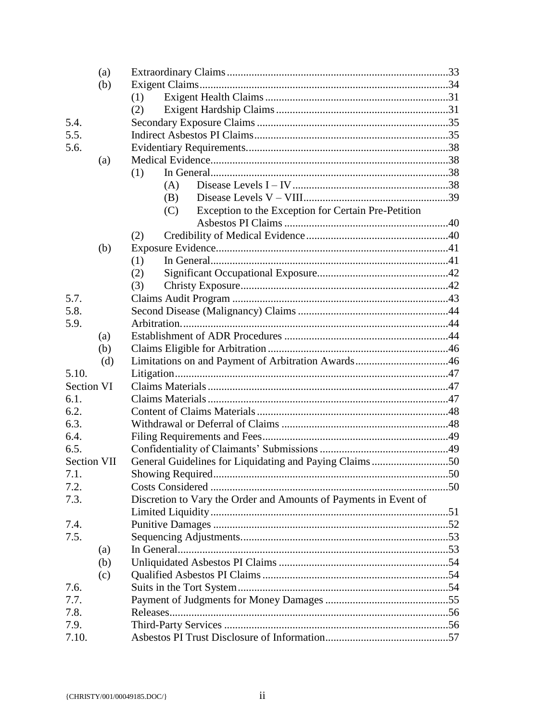|            | (a)         |                                                                  |  |
|------------|-------------|------------------------------------------------------------------|--|
|            | (b)         |                                                                  |  |
|            |             | (1)                                                              |  |
|            |             | (2)                                                              |  |
| 5.4.       |             |                                                                  |  |
| 5.5.       |             |                                                                  |  |
| 5.6.       |             |                                                                  |  |
|            | (a)         |                                                                  |  |
|            |             | (1)                                                              |  |
|            |             | (A)                                                              |  |
|            |             | (B)                                                              |  |
|            |             | Exception to the Exception for Certain Pre-Petition<br>(C)       |  |
|            |             |                                                                  |  |
|            |             | (2)                                                              |  |
|            | (b)         |                                                                  |  |
|            |             | (1)                                                              |  |
|            |             | (2)                                                              |  |
|            |             | (3)                                                              |  |
| 5.7.       |             |                                                                  |  |
| 5.8.       |             |                                                                  |  |
| 5.9.       |             |                                                                  |  |
|            | (a)         |                                                                  |  |
|            | (b)         |                                                                  |  |
|            | (d)         |                                                                  |  |
| 5.10.      |             |                                                                  |  |
| Section VI |             |                                                                  |  |
| 6.1.       |             |                                                                  |  |
| 6.2.       |             |                                                                  |  |
| 6.3.       |             |                                                                  |  |
| 6.4.       |             |                                                                  |  |
| 6.5.       |             |                                                                  |  |
|            | Section VII | General Guidelines for Liquidating and Paying Claims50           |  |
| 7.1.       |             |                                                                  |  |
| 7.2.       |             |                                                                  |  |
| 7.3.       |             | Discretion to Vary the Order and Amounts of Payments in Event of |  |
|            |             |                                                                  |  |
| 7.4.       |             |                                                                  |  |
| 7.5.       |             |                                                                  |  |
|            | (a)         |                                                                  |  |
|            | (b)         |                                                                  |  |
|            | (c)         |                                                                  |  |
| 7.6.       |             |                                                                  |  |
| 7.7.       |             |                                                                  |  |
| 7.8.       |             |                                                                  |  |
| 7.9.       |             |                                                                  |  |
| 7.10.      |             |                                                                  |  |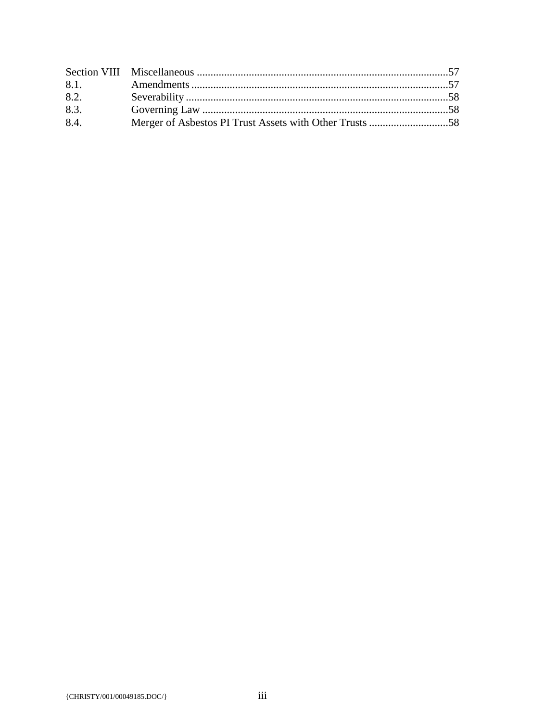| 8.2. |  |
|------|--|
| 8.3. |  |
| 8.4. |  |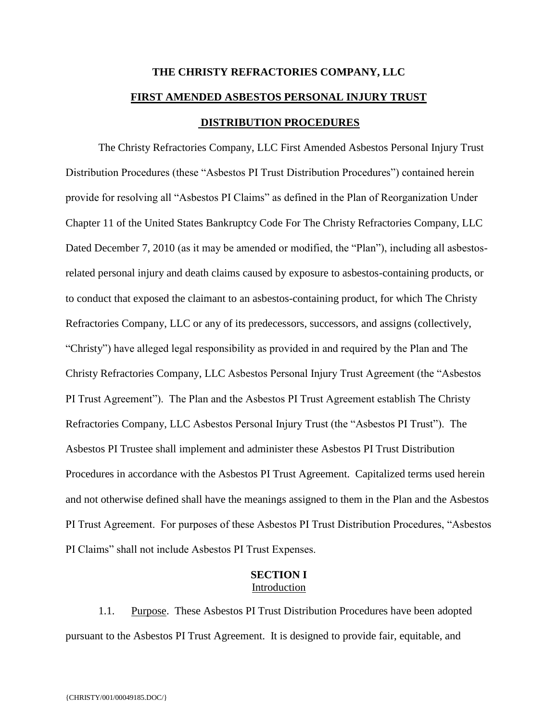# **THE CHRISTY REFRACTORIES COMPANY, LLC FIRST AMENDED ASBESTOS PERSONAL INJURY TRUST DISTRIBUTION PROCEDURES**

The Christy Refractories Company, LLC First Amended Asbestos Personal Injury Trust Distribution Procedures (these "Asbestos PI Trust Distribution Procedures") contained herein provide for resolving all "Asbestos PI Claims" as defined in the Plan of Reorganization Under Chapter 11 of the United States Bankruptcy Code For The Christy Refractories Company, LLC Dated December 7, 2010 (as it may be amended or modified, the "Plan"), including all asbestosrelated personal injury and death claims caused by exposure to asbestos-containing products, or to conduct that exposed the claimant to an asbestos-containing product, for which The Christy Refractories Company, LLC or any of its predecessors, successors, and assigns (collectively, "Christy") have alleged legal responsibility as provided in and required by the Plan and The Christy Refractories Company, LLC Asbestos Personal Injury Trust Agreement (the "Asbestos PI Trust Agreement"). The Plan and the Asbestos PI Trust Agreement establish The Christy Refractories Company, LLC Asbestos Personal Injury Trust (the "Asbestos PI Trust"). The Asbestos PI Trustee shall implement and administer these Asbestos PI Trust Distribution Procedures in accordance with the Asbestos PI Trust Agreement. Capitalized terms used herein and not otherwise defined shall have the meanings assigned to them in the Plan and the Asbestos PI Trust Agreement. For purposes of these Asbestos PI Trust Distribution Procedures, "Asbestos PI Claims" shall not include Asbestos PI Trust Expenses.

#### **SECTION I** Introduction

1.1. Purpose. These Asbestos PI Trust Distribution Procedures have been adopted pursuant to the Asbestos PI Trust Agreement. It is designed to provide fair, equitable, and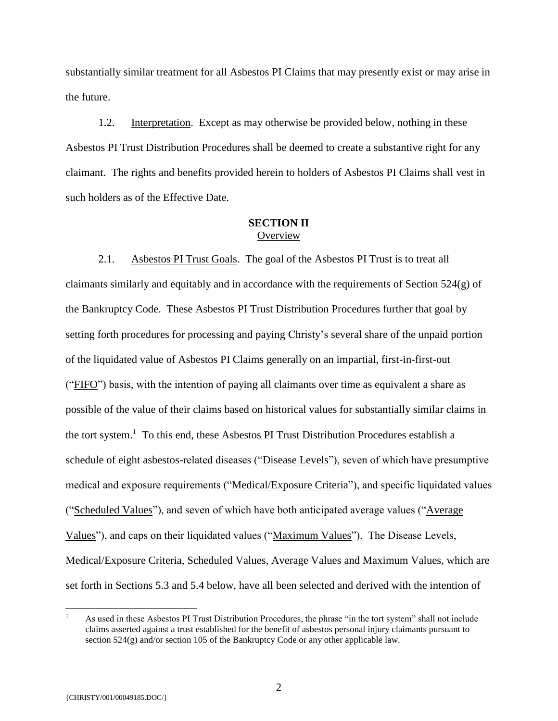substantially similar treatment for all Asbestos PI Claims that may presently exist or may arise in the future.

1.2. Interpretation. Except as may otherwise be provided below, nothing in these Asbestos PI Trust Distribution Procedures shall be deemed to create a substantive right for any claimant. The rights and benefits provided herein to holders of Asbestos PI Claims shall vest in such holders as of the Effective Date.

#### **SECTION II Overview**

2.1. Asbestos PI Trust Goals. The goal of the Asbestos PI Trust is to treat all claimants similarly and equitably and in accordance with the requirements of Section  $524(g)$  of the Bankruptcy Code. These Asbestos PI Trust Distribution Procedures further that goal by setting forth procedures for processing and paying Christy's several share of the unpaid portion of the liquidated value of Asbestos PI Claims generally on an impartial, first-in-first-out ("FIFO") basis, with the intention of paying all claimants over time as equivalent a share as possible of the value of their claims based on historical values for substantially similar claims in the tort system.<sup>1</sup> To this end, these Asbestos PI Trust Distribution Procedures establish a schedule of eight asbestos-related diseases ("Disease Levels"), seven of which have presumptive medical and exposure requirements ("Medical/Exposure Criteria"), and specific liquidated values ("Scheduled Values"), and seven of which have both anticipated average values ("Average") Values"), and caps on their liquidated values ("Maximum Values"). The Disease Levels, Medical/Exposure Criteria, Scheduled Values, Average Values and Maximum Values, which are set forth in Sections 5.3 and 5.4 below, have all been selected and derived with the intention of

 $\overline{a}$ 

<sup>&</sup>lt;sup>1</sup> As used in these Asbestos PI Trust Distribution Procedures, the phrase "in the tort system" shall not include claims asserted against a trust established for the benefit of asbestos personal injury claimants pursuant to section  $524(g)$  and/or section 105 of the Bankruptcy Code or any other applicable law.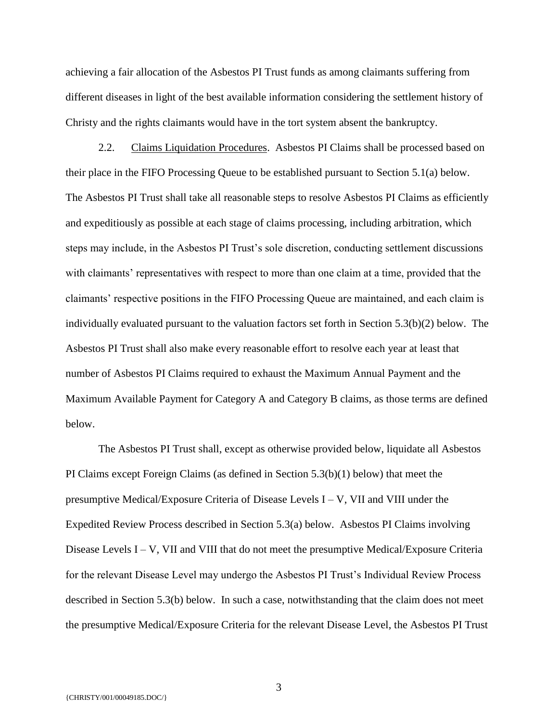achieving a fair allocation of the Asbestos PI Trust funds as among claimants suffering from different diseases in light of the best available information considering the settlement history of Christy and the rights claimants would have in the tort system absent the bankruptcy.

2.2. Claims Liquidation Procedures. Asbestos PI Claims shall be processed based on their place in the FIFO Processing Queue to be established pursuant to Section 5.1(a) below. The Asbestos PI Trust shall take all reasonable steps to resolve Asbestos PI Claims as efficiently and expeditiously as possible at each stage of claims processing, including arbitration, which steps may include, in the Asbestos PI Trust's sole discretion, conducting settlement discussions with claimants' representatives with respect to more than one claim at a time, provided that the claimants' respective positions in the FIFO Processing Queue are maintained, and each claim is individually evaluated pursuant to the valuation factors set forth in Section 5.3(b)(2) below. The Asbestos PI Trust shall also make every reasonable effort to resolve each year at least that number of Asbestos PI Claims required to exhaust the Maximum Annual Payment and the Maximum Available Payment for Category A and Category B claims, as those terms are defined below.

The Asbestos PI Trust shall, except as otherwise provided below, liquidate all Asbestos PI Claims except Foreign Claims (as defined in Section 5.3(b)(1) below) that meet the presumptive Medical/Exposure Criteria of Disease Levels I – V, VII and VIII under the Expedited Review Process described in Section 5.3(a) below. Asbestos PI Claims involving Disease Levels  $I - V$ , VII and VIII that do not meet the presumptive Medical/Exposure Criteria for the relevant Disease Level may undergo the Asbestos PI Trust's Individual Review Process described in Section 5.3(b) below. In such a case, notwithstanding that the claim does not meet the presumptive Medical/Exposure Criteria for the relevant Disease Level, the Asbestos PI Trust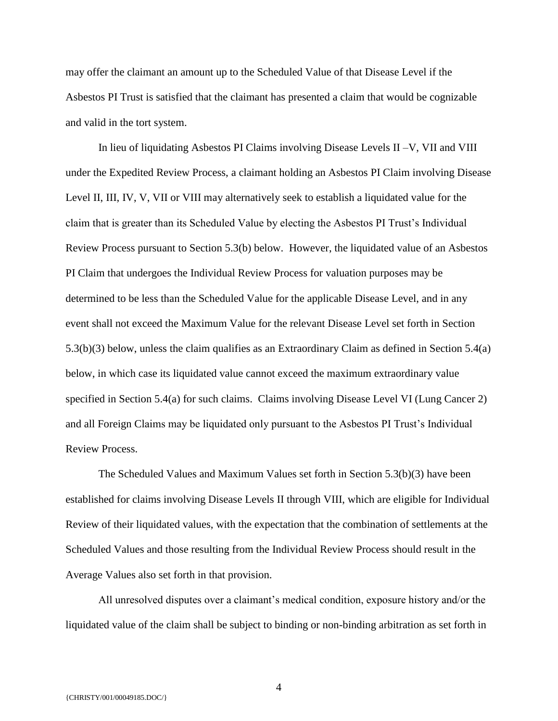may offer the claimant an amount up to the Scheduled Value of that Disease Level if the Asbestos PI Trust is satisfied that the claimant has presented a claim that would be cognizable and valid in the tort system.

In lieu of liquidating Asbestos PI Claims involving Disease Levels II –V, VII and VIII under the Expedited Review Process, a claimant holding an Asbestos PI Claim involving Disease Level II, III, IV, V, VII or VIII may alternatively seek to establish a liquidated value for the claim that is greater than its Scheduled Value by electing the Asbestos PI Trust's Individual Review Process pursuant to Section 5.3(b) below. However, the liquidated value of an Asbestos PI Claim that undergoes the Individual Review Process for valuation purposes may be determined to be less than the Scheduled Value for the applicable Disease Level, and in any event shall not exceed the Maximum Value for the relevant Disease Level set forth in Section 5.3(b)(3) below, unless the claim qualifies as an Extraordinary Claim as defined in Section 5.4(a) below, in which case its liquidated value cannot exceed the maximum extraordinary value specified in Section 5.4(a) for such claims. Claims involving Disease Level VI (Lung Cancer 2) and all Foreign Claims may be liquidated only pursuant to the Asbestos PI Trust's Individual Review Process.

The Scheduled Values and Maximum Values set forth in Section 5.3(b)(3) have been established for claims involving Disease Levels II through VIII, which are eligible for Individual Review of their liquidated values, with the expectation that the combination of settlements at the Scheduled Values and those resulting from the Individual Review Process should result in the Average Values also set forth in that provision.

All unresolved disputes over a claimant's medical condition, exposure history and/or the liquidated value of the claim shall be subject to binding or non-binding arbitration as set forth in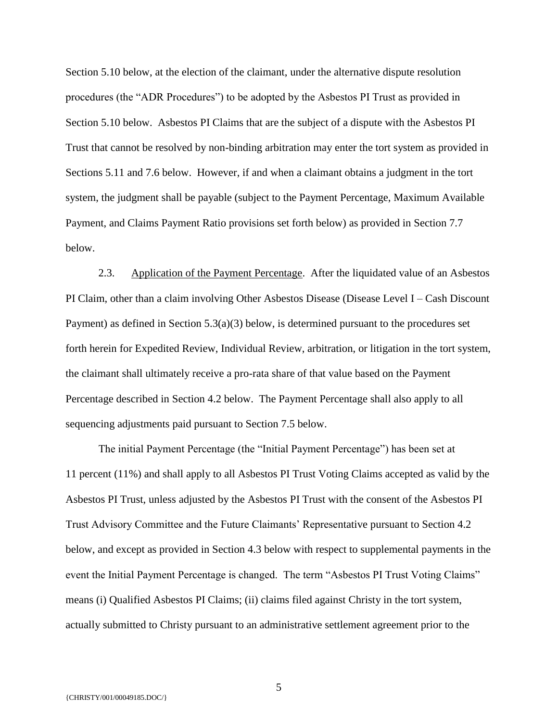Section 5.10 below, at the election of the claimant, under the alternative dispute resolution procedures (the "ADR Procedures") to be adopted by the Asbestos PI Trust as provided in Section 5.10 below. Asbestos PI Claims that are the subject of a dispute with the Asbestos PI Trust that cannot be resolved by non-binding arbitration may enter the tort system as provided in Sections 5.11 and 7.6 below. However, if and when a claimant obtains a judgment in the tort system, the judgment shall be payable (subject to the Payment Percentage, Maximum Available Payment, and Claims Payment Ratio provisions set forth below) as provided in Section 7.7 below.

2.3. Application of the Payment Percentage. After the liquidated value of an Asbestos PI Claim, other than a claim involving Other Asbestos Disease (Disease Level I – Cash Discount Payment) as defined in Section 5.3(a)(3) below, is determined pursuant to the procedures set forth herein for Expedited Review, Individual Review, arbitration, or litigation in the tort system, the claimant shall ultimately receive a pro-rata share of that value based on the Payment Percentage described in Section 4.2 below. The Payment Percentage shall also apply to all sequencing adjustments paid pursuant to Section 7.5 below.

The initial Payment Percentage (the "Initial Payment Percentage") has been set at 11 percent (11%) and shall apply to all Asbestos PI Trust Voting Claims accepted as valid by the Asbestos PI Trust, unless adjusted by the Asbestos PI Trust with the consent of the Asbestos PI Trust Advisory Committee and the Future Claimants' Representative pursuant to Section 4.2 below, and except as provided in Section 4.3 below with respect to supplemental payments in the event the Initial Payment Percentage is changed. The term "Asbestos PI Trust Voting Claims" means (i) Qualified Asbestos PI Claims; (ii) claims filed against Christy in the tort system, actually submitted to Christy pursuant to an administrative settlement agreement prior to the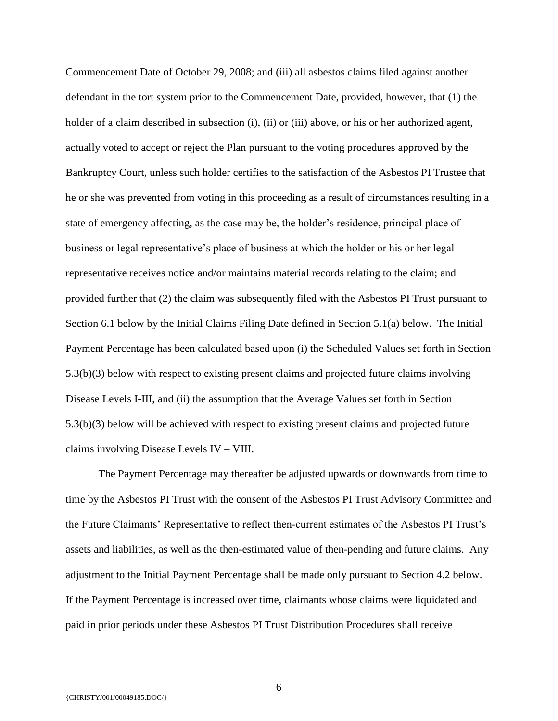Commencement Date of October 29, 2008; and (iii) all asbestos claims filed against another defendant in the tort system prior to the Commencement Date, provided, however, that (1) the holder of a claim described in subsection (i), (ii) or (iii) above, or his or her authorized agent, actually voted to accept or reject the Plan pursuant to the voting procedures approved by the Bankruptcy Court, unless such holder certifies to the satisfaction of the Asbestos PI Trustee that he or she was prevented from voting in this proceeding as a result of circumstances resulting in a state of emergency affecting, as the case may be, the holder's residence, principal place of business or legal representative's place of business at which the holder or his or her legal representative receives notice and/or maintains material records relating to the claim; and provided further that (2) the claim was subsequently filed with the Asbestos PI Trust pursuant to Section 6.1 below by the Initial Claims Filing Date defined in Section 5.1(a) below. The Initial Payment Percentage has been calculated based upon (i) the Scheduled Values set forth in Section 5.3(b)(3) below with respect to existing present claims and projected future claims involving Disease Levels I-III, and (ii) the assumption that the Average Values set forth in Section 5.3(b)(3) below will be achieved with respect to existing present claims and projected future claims involving Disease Levels IV – VIII.

The Payment Percentage may thereafter be adjusted upwards or downwards from time to time by the Asbestos PI Trust with the consent of the Asbestos PI Trust Advisory Committee and the Future Claimants' Representative to reflect then-current estimates of the Asbestos PI Trust's assets and liabilities, as well as the then-estimated value of then-pending and future claims. Any adjustment to the Initial Payment Percentage shall be made only pursuant to Section 4.2 below. If the Payment Percentage is increased over time, claimants whose claims were liquidated and paid in prior periods under these Asbestos PI Trust Distribution Procedures shall receive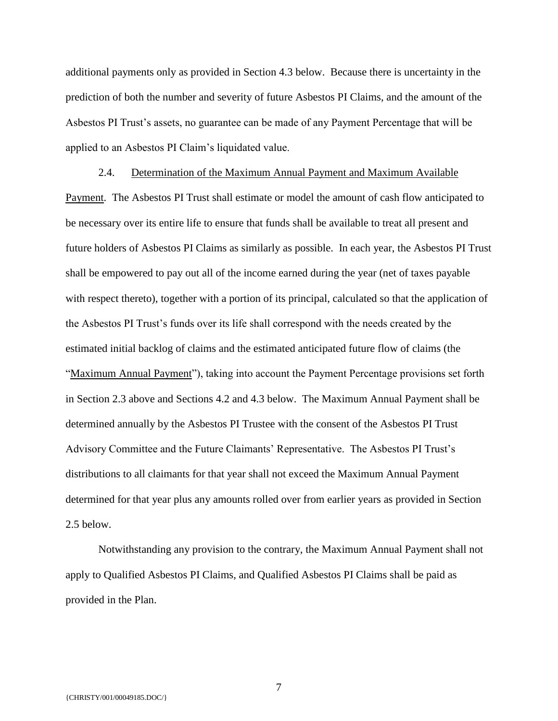additional payments only as provided in Section 4.3 below. Because there is uncertainty in the prediction of both the number and severity of future Asbestos PI Claims, and the amount of the Asbestos PI Trust's assets, no guarantee can be made of any Payment Percentage that will be applied to an Asbestos PI Claim's liquidated value.

2.4. Determination of the Maximum Annual Payment and Maximum Available Payment. The Asbestos PI Trust shall estimate or model the amount of cash flow anticipated to be necessary over its entire life to ensure that funds shall be available to treat all present and future holders of Asbestos PI Claims as similarly as possible. In each year, the Asbestos PI Trust shall be empowered to pay out all of the income earned during the year (net of taxes payable with respect thereto), together with a portion of its principal, calculated so that the application of the Asbestos PI Trust's funds over its life shall correspond with the needs created by the estimated initial backlog of claims and the estimated anticipated future flow of claims (the "Maximum Annual Payment"), taking into account the Payment Percentage provisions set forth in Section 2.3 above and Sections 4.2 and 4.3 below. The Maximum Annual Payment shall be determined annually by the Asbestos PI Trustee with the consent of the Asbestos PI Trust Advisory Committee and the Future Claimants' Representative. The Asbestos PI Trust's distributions to all claimants for that year shall not exceed the Maximum Annual Payment determined for that year plus any amounts rolled over from earlier years as provided in Section 2.5 below.

Notwithstanding any provision to the contrary, the Maximum Annual Payment shall not apply to Qualified Asbestos PI Claims, and Qualified Asbestos PI Claims shall be paid as provided in the Plan.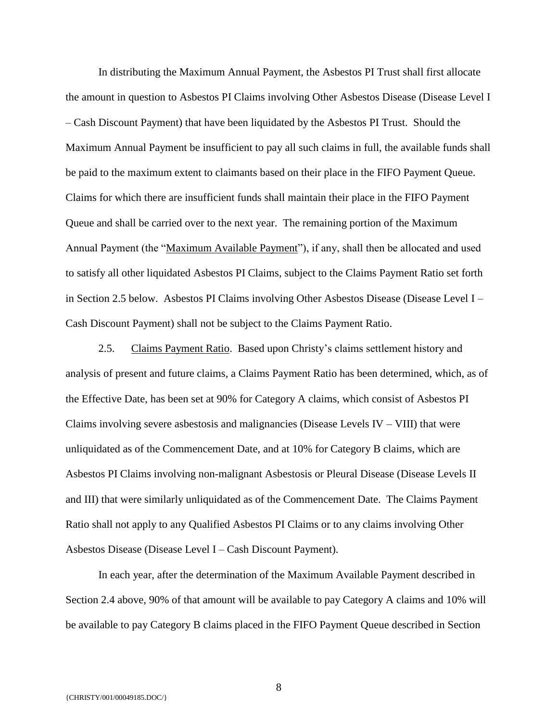In distributing the Maximum Annual Payment, the Asbestos PI Trust shall first allocate the amount in question to Asbestos PI Claims involving Other Asbestos Disease (Disease Level I – Cash Discount Payment) that have been liquidated by the Asbestos PI Trust. Should the Maximum Annual Payment be insufficient to pay all such claims in full, the available funds shall be paid to the maximum extent to claimants based on their place in the FIFO Payment Queue. Claims for which there are insufficient funds shall maintain their place in the FIFO Payment Queue and shall be carried over to the next year. The remaining portion of the Maximum Annual Payment (the "Maximum Available Payment"), if any, shall then be allocated and used to satisfy all other liquidated Asbestos PI Claims, subject to the Claims Payment Ratio set forth in Section 2.5 below. Asbestos PI Claims involving Other Asbestos Disease (Disease Level I – Cash Discount Payment) shall not be subject to the Claims Payment Ratio.

2.5. Claims Payment Ratio. Based upon Christy's claims settlement history and analysis of present and future claims, a Claims Payment Ratio has been determined, which, as of the Effective Date, has been set at 90% for Category A claims, which consist of Asbestos PI Claims involving severe asbestosis and malignancies (Disease Levels  $IV - VIII$ ) that were unliquidated as of the Commencement Date, and at 10% for Category B claims, which are Asbestos PI Claims involving non-malignant Asbestosis or Pleural Disease (Disease Levels II and III) that were similarly unliquidated as of the Commencement Date. The Claims Payment Ratio shall not apply to any Qualified Asbestos PI Claims or to any claims involving Other Asbestos Disease (Disease Level I – Cash Discount Payment).

In each year, after the determination of the Maximum Available Payment described in Section 2.4 above, 90% of that amount will be available to pay Category A claims and 10% will be available to pay Category B claims placed in the FIFO Payment Queue described in Section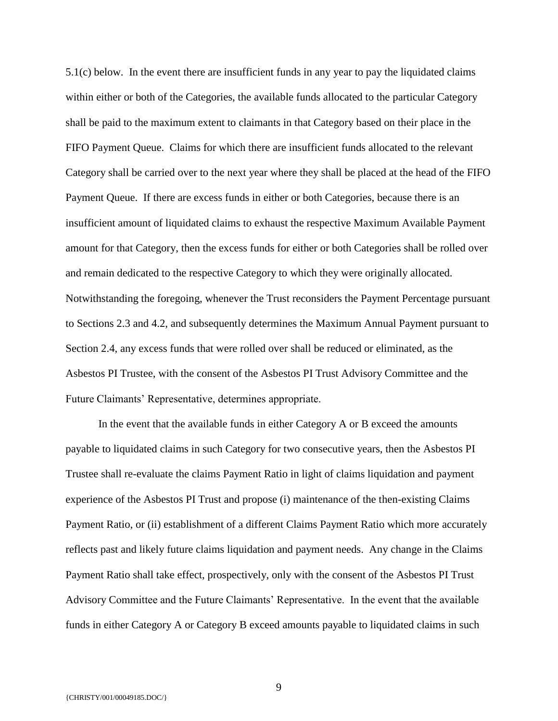5.1(c) below. In the event there are insufficient funds in any year to pay the liquidated claims within either or both of the Categories, the available funds allocated to the particular Category shall be paid to the maximum extent to claimants in that Category based on their place in the FIFO Payment Queue. Claims for which there are insufficient funds allocated to the relevant Category shall be carried over to the next year where they shall be placed at the head of the FIFO Payment Queue. If there are excess funds in either or both Categories, because there is an insufficient amount of liquidated claims to exhaust the respective Maximum Available Payment amount for that Category, then the excess funds for either or both Categories shall be rolled over and remain dedicated to the respective Category to which they were originally allocated. Notwithstanding the foregoing, whenever the Trust reconsiders the Payment Percentage pursuant to Sections 2.3 and 4.2, and subsequently determines the Maximum Annual Payment pursuant to Section 2.4, any excess funds that were rolled over shall be reduced or eliminated, as the Asbestos PI Trustee, with the consent of the Asbestos PI Trust Advisory Committee and the Future Claimants' Representative, determines appropriate.

In the event that the available funds in either Category A or B exceed the amounts payable to liquidated claims in such Category for two consecutive years, then the Asbestos PI Trustee shall re-evaluate the claims Payment Ratio in light of claims liquidation and payment experience of the Asbestos PI Trust and propose (i) maintenance of the then-existing Claims Payment Ratio, or (ii) establishment of a different Claims Payment Ratio which more accurately reflects past and likely future claims liquidation and payment needs. Any change in the Claims Payment Ratio shall take effect, prospectively, only with the consent of the Asbestos PI Trust Advisory Committee and the Future Claimants' Representative. In the event that the available funds in either Category A or Category B exceed amounts payable to liquidated claims in such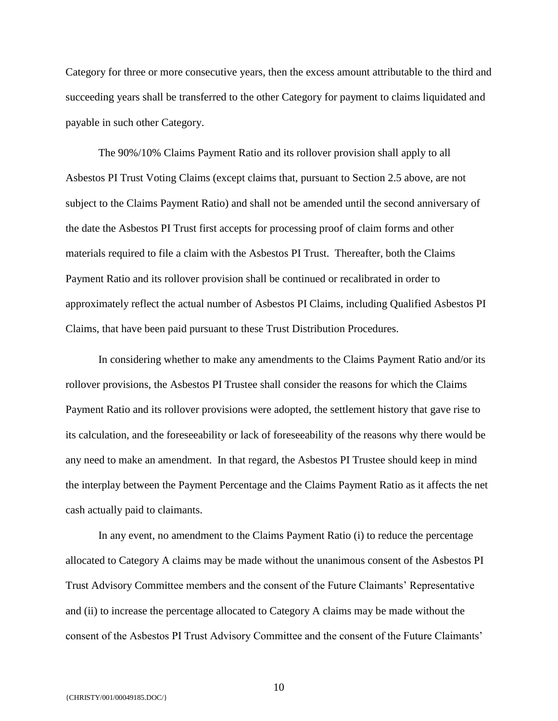Category for three or more consecutive years, then the excess amount attributable to the third and succeeding years shall be transferred to the other Category for payment to claims liquidated and payable in such other Category.

The 90%/10% Claims Payment Ratio and its rollover provision shall apply to all Asbestos PI Trust Voting Claims (except claims that, pursuant to Section 2.5 above, are not subject to the Claims Payment Ratio) and shall not be amended until the second anniversary of the date the Asbestos PI Trust first accepts for processing proof of claim forms and other materials required to file a claim with the Asbestos PI Trust. Thereafter, both the Claims Payment Ratio and its rollover provision shall be continued or recalibrated in order to approximately reflect the actual number of Asbestos PI Claims, including Qualified Asbestos PI Claims, that have been paid pursuant to these Trust Distribution Procedures.

In considering whether to make any amendments to the Claims Payment Ratio and/or its rollover provisions, the Asbestos PI Trustee shall consider the reasons for which the Claims Payment Ratio and its rollover provisions were adopted, the settlement history that gave rise to its calculation, and the foreseeability or lack of foreseeability of the reasons why there would be any need to make an amendment. In that regard, the Asbestos PI Trustee should keep in mind the interplay between the Payment Percentage and the Claims Payment Ratio as it affects the net cash actually paid to claimants.

In any event, no amendment to the Claims Payment Ratio (i) to reduce the percentage allocated to Category A claims may be made without the unanimous consent of the Asbestos PI Trust Advisory Committee members and the consent of the Future Claimants' Representative and (ii) to increase the percentage allocated to Category A claims may be made without the consent of the Asbestos PI Trust Advisory Committee and the consent of the Future Claimants'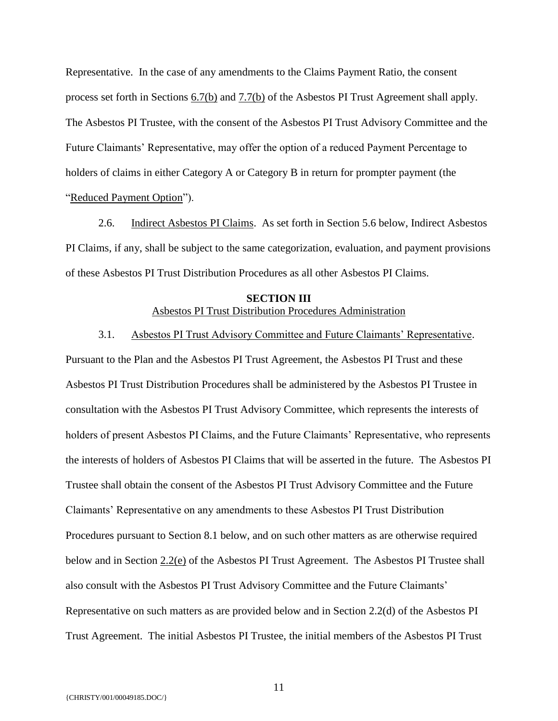Representative. In the case of any amendments to the Claims Payment Ratio, the consent process set forth in Sections 6.7(b) and 7.7(b) of the Asbestos PI Trust Agreement shall apply. The Asbestos PI Trustee, with the consent of the Asbestos PI Trust Advisory Committee and the Future Claimants' Representative, may offer the option of a reduced Payment Percentage to holders of claims in either Category A or Category B in return for prompter payment (the "Reduced Payment Option").

2.6. Indirect Asbestos PI Claims. As set forth in Section 5.6 below, Indirect Asbestos PI Claims, if any, shall be subject to the same categorization, evaluation, and payment provisions of these Asbestos PI Trust Distribution Procedures as all other Asbestos PI Claims.

#### **SECTION III** Asbestos PI Trust Distribution Procedures Administration

#### 3.1. Asbestos PI Trust Advisory Committee and Future Claimants' Representative.

Pursuant to the Plan and the Asbestos PI Trust Agreement, the Asbestos PI Trust and these Asbestos PI Trust Distribution Procedures shall be administered by the Asbestos PI Trustee in consultation with the Asbestos PI Trust Advisory Committee, which represents the interests of holders of present Asbestos PI Claims, and the Future Claimants' Representative, who represents the interests of holders of Asbestos PI Claims that will be asserted in the future. The Asbestos PI Trustee shall obtain the consent of the Asbestos PI Trust Advisory Committee and the Future Claimants' Representative on any amendments to these Asbestos PI Trust Distribution Procedures pursuant to Section 8.1 below, and on such other matters as are otherwise required below and in Section 2.2(e) of the Asbestos PI Trust Agreement. The Asbestos PI Trustee shall also consult with the Asbestos PI Trust Advisory Committee and the Future Claimants' Representative on such matters as are provided below and in Section 2.2(d) of the Asbestos PI Trust Agreement. The initial Asbestos PI Trustee, the initial members of the Asbestos PI Trust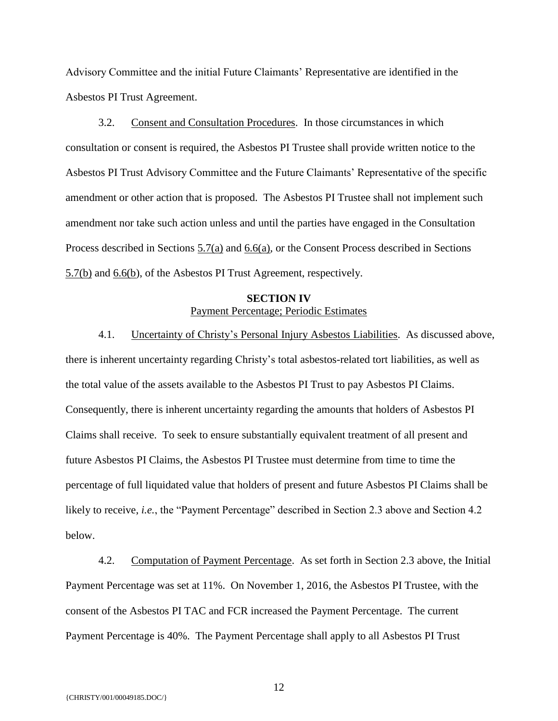Advisory Committee and the initial Future Claimants' Representative are identified in the Asbestos PI Trust Agreement.

3.2. Consent and Consultation Procedures. In those circumstances in which consultation or consent is required, the Asbestos PI Trustee shall provide written notice to the Asbestos PI Trust Advisory Committee and the Future Claimants' Representative of the specific amendment or other action that is proposed. The Asbestos PI Trustee shall not implement such amendment nor take such action unless and until the parties have engaged in the Consultation Process described in Sections 5.7(a) and 6.6(a), or the Consent Process described in Sections 5.7(b) and 6.6(b), of the Asbestos PI Trust Agreement, respectively.

## **SECTION IV** Payment Percentage; Periodic Estimates

4.1. Uncertainty of Christy's Personal Injury Asbestos Liabilities. As discussed above, there is inherent uncertainty regarding Christy's total asbestos-related tort liabilities, as well as the total value of the assets available to the Asbestos PI Trust to pay Asbestos PI Claims. Consequently, there is inherent uncertainty regarding the amounts that holders of Asbestos PI Claims shall receive. To seek to ensure substantially equivalent treatment of all present and future Asbestos PI Claims, the Asbestos PI Trustee must determine from time to time the percentage of full liquidated value that holders of present and future Asbestos PI Claims shall be likely to receive, *i.e.*, the "Payment Percentage" described in Section 2.3 above and Section 4.2 below.

4.2. Computation of Payment Percentage. As set forth in Section 2.3 above, the Initial Payment Percentage was set at 11%. On November 1, 2016, the Asbestos PI Trustee, with the consent of the Asbestos PI TAC and FCR increased the Payment Percentage. The current Payment Percentage is 40%. The Payment Percentage shall apply to all Asbestos PI Trust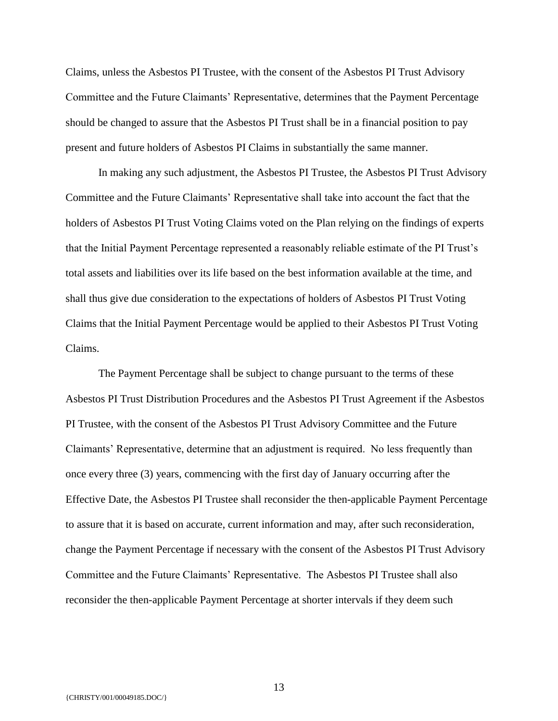Claims, unless the Asbestos PI Trustee, with the consent of the Asbestos PI Trust Advisory Committee and the Future Claimants' Representative, determines that the Payment Percentage should be changed to assure that the Asbestos PI Trust shall be in a financial position to pay present and future holders of Asbestos PI Claims in substantially the same manner.

In making any such adjustment, the Asbestos PI Trustee, the Asbestos PI Trust Advisory Committee and the Future Claimants' Representative shall take into account the fact that the holders of Asbestos PI Trust Voting Claims voted on the Plan relying on the findings of experts that the Initial Payment Percentage represented a reasonably reliable estimate of the PI Trust's total assets and liabilities over its life based on the best information available at the time, and shall thus give due consideration to the expectations of holders of Asbestos PI Trust Voting Claims that the Initial Payment Percentage would be applied to their Asbestos PI Trust Voting Claims.

The Payment Percentage shall be subject to change pursuant to the terms of these Asbestos PI Trust Distribution Procedures and the Asbestos PI Trust Agreement if the Asbestos PI Trustee, with the consent of the Asbestos PI Trust Advisory Committee and the Future Claimants' Representative, determine that an adjustment is required. No less frequently than once every three (3) years, commencing with the first day of January occurring after the Effective Date, the Asbestos PI Trustee shall reconsider the then-applicable Payment Percentage to assure that it is based on accurate, current information and may, after such reconsideration, change the Payment Percentage if necessary with the consent of the Asbestos PI Trust Advisory Committee and the Future Claimants' Representative. The Asbestos PI Trustee shall also reconsider the then-applicable Payment Percentage at shorter intervals if they deem such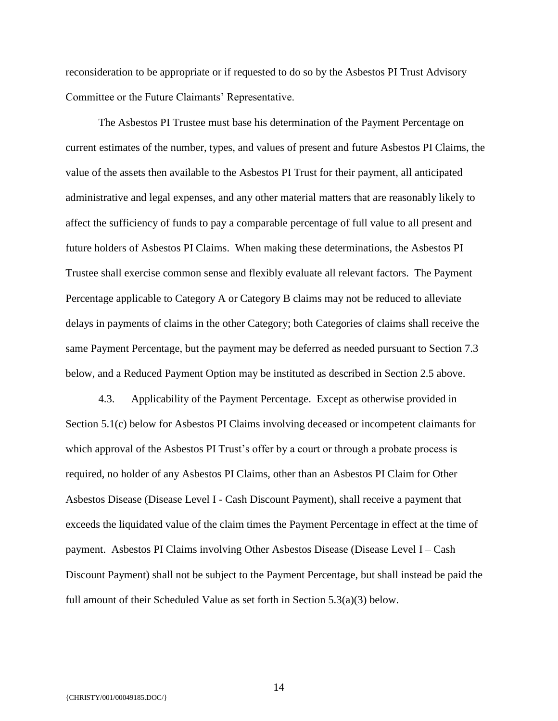reconsideration to be appropriate or if requested to do so by the Asbestos PI Trust Advisory Committee or the Future Claimants' Representative.

The Asbestos PI Trustee must base his determination of the Payment Percentage on current estimates of the number, types, and values of present and future Asbestos PI Claims, the value of the assets then available to the Asbestos PI Trust for their payment, all anticipated administrative and legal expenses, and any other material matters that are reasonably likely to affect the sufficiency of funds to pay a comparable percentage of full value to all present and future holders of Asbestos PI Claims. When making these determinations, the Asbestos PI Trustee shall exercise common sense and flexibly evaluate all relevant factors. The Payment Percentage applicable to Category A or Category B claims may not be reduced to alleviate delays in payments of claims in the other Category; both Categories of claims shall receive the same Payment Percentage, but the payment may be deferred as needed pursuant to Section 7.3 below, and a Reduced Payment Option may be instituted as described in Section 2.5 above.

4.3. Applicability of the Payment Percentage. Except as otherwise provided in Section 5.1(c) below for Asbestos PI Claims involving deceased or incompetent claimants for which approval of the Asbestos PI Trust's offer by a court or through a probate process is required, no holder of any Asbestos PI Claims, other than an Asbestos PI Claim for Other Asbestos Disease (Disease Level I - Cash Discount Payment), shall receive a payment that exceeds the liquidated value of the claim times the Payment Percentage in effect at the time of payment. Asbestos PI Claims involving Other Asbestos Disease (Disease Level I – Cash Discount Payment) shall not be subject to the Payment Percentage, but shall instead be paid the full amount of their Scheduled Value as set forth in Section 5.3(a)(3) below.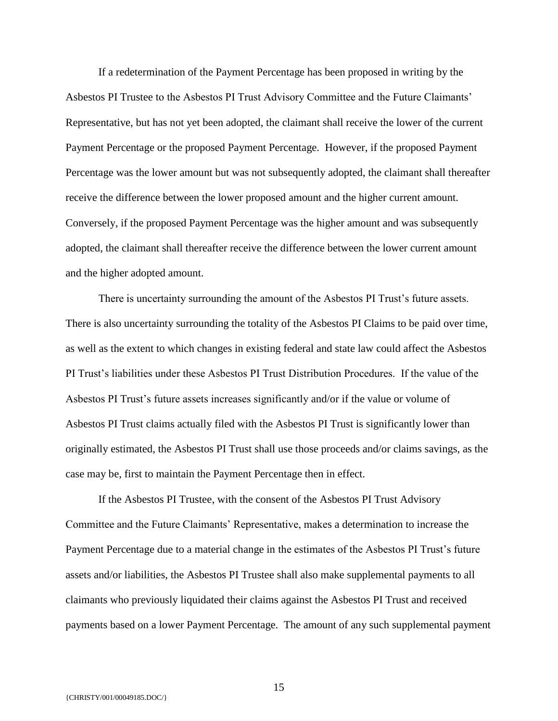If a redetermination of the Payment Percentage has been proposed in writing by the Asbestos PI Trustee to the Asbestos PI Trust Advisory Committee and the Future Claimants' Representative, but has not yet been adopted, the claimant shall receive the lower of the current Payment Percentage or the proposed Payment Percentage. However, if the proposed Payment Percentage was the lower amount but was not subsequently adopted, the claimant shall thereafter receive the difference between the lower proposed amount and the higher current amount. Conversely, if the proposed Payment Percentage was the higher amount and was subsequently adopted, the claimant shall thereafter receive the difference between the lower current amount and the higher adopted amount.

There is uncertainty surrounding the amount of the Asbestos PI Trust's future assets. There is also uncertainty surrounding the totality of the Asbestos PI Claims to be paid over time, as well as the extent to which changes in existing federal and state law could affect the Asbestos PI Trust's liabilities under these Asbestos PI Trust Distribution Procedures. If the value of the Asbestos PI Trust's future assets increases significantly and/or if the value or volume of Asbestos PI Trust claims actually filed with the Asbestos PI Trust is significantly lower than originally estimated, the Asbestos PI Trust shall use those proceeds and/or claims savings, as the case may be, first to maintain the Payment Percentage then in effect.

If the Asbestos PI Trustee, with the consent of the Asbestos PI Trust Advisory Committee and the Future Claimants' Representative, makes a determination to increase the Payment Percentage due to a material change in the estimates of the Asbestos PI Trust's future assets and/or liabilities, the Asbestos PI Trustee shall also make supplemental payments to all claimants who previously liquidated their claims against the Asbestos PI Trust and received payments based on a lower Payment Percentage. The amount of any such supplemental payment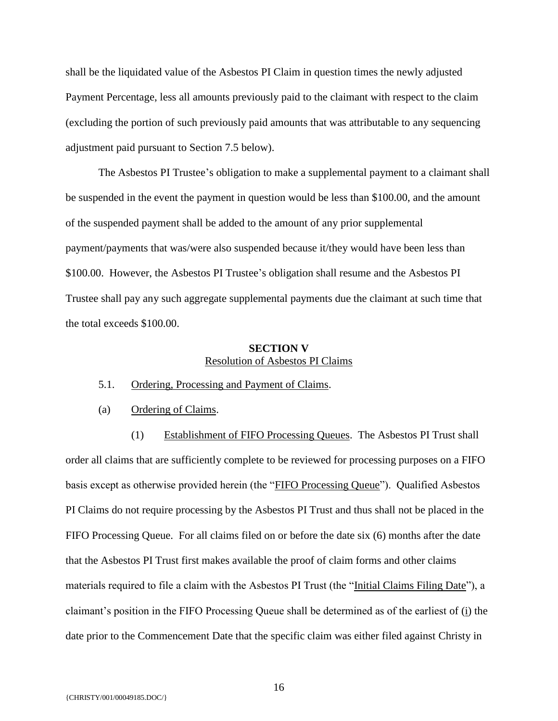shall be the liquidated value of the Asbestos PI Claim in question times the newly adjusted Payment Percentage, less all amounts previously paid to the claimant with respect to the claim (excluding the portion of such previously paid amounts that was attributable to any sequencing adjustment paid pursuant to Section 7.5 below).

The Asbestos PI Trustee's obligation to make a supplemental payment to a claimant shall be suspended in the event the payment in question would be less than \$100.00, and the amount of the suspended payment shall be added to the amount of any prior supplemental payment/payments that was/were also suspended because it/they would have been less than \$100.00. However, the Asbestos PI Trustee's obligation shall resume and the Asbestos PI Trustee shall pay any such aggregate supplemental payments due the claimant at such time that the total exceeds \$100.00.

#### **SECTION V** Resolution of Asbestos PI Claims

- 5.1. Ordering, Processing and Payment of Claims.
- (a) Ordering of Claims.

(1) Establishment of FIFO Processing Queues. The Asbestos PI Trust shall order all claims that are sufficiently complete to be reviewed for processing purposes on a FIFO basis except as otherwise provided herein (the "FIFO Processing Queue"). Qualified Asbestos PI Claims do not require processing by the Asbestos PI Trust and thus shall not be placed in the FIFO Processing Queue. For all claims filed on or before the date six (6) months after the date that the Asbestos PI Trust first makes available the proof of claim forms and other claims materials required to file a claim with the Asbestos PI Trust (the "Initial Claims Filing Date"), a claimant's position in the FIFO Processing Queue shall be determined as of the earliest of (i) the date prior to the Commencement Date that the specific claim was either filed against Christy in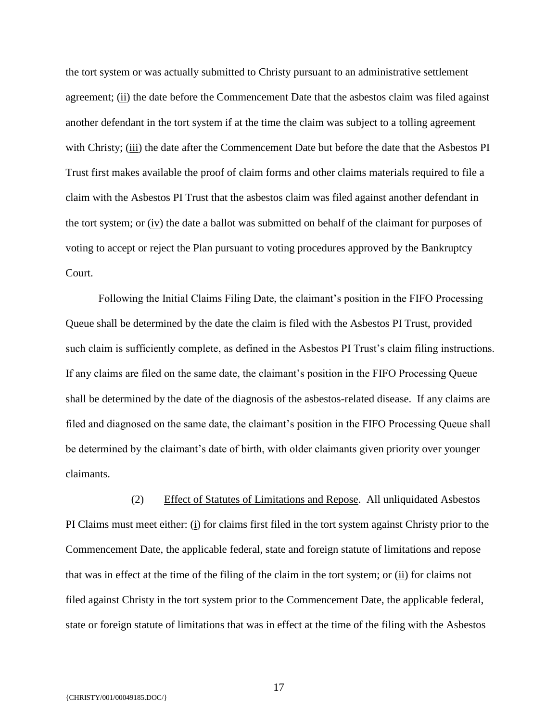the tort system or was actually submitted to Christy pursuant to an administrative settlement agreement; (ii) the date before the Commencement Date that the asbestos claim was filed against another defendant in the tort system if at the time the claim was subject to a tolling agreement with Christy; (iii) the date after the Commencement Date but before the date that the Asbestos PI Trust first makes available the proof of claim forms and other claims materials required to file a claim with the Asbestos PI Trust that the asbestos claim was filed against another defendant in the tort system; or (iv) the date a ballot was submitted on behalf of the claimant for purposes of voting to accept or reject the Plan pursuant to voting procedures approved by the Bankruptcy Court.

Following the Initial Claims Filing Date, the claimant's position in the FIFO Processing Queue shall be determined by the date the claim is filed with the Asbestos PI Trust, provided such claim is sufficiently complete, as defined in the Asbestos PI Trust's claim filing instructions. If any claims are filed on the same date, the claimant's position in the FIFO Processing Queue shall be determined by the date of the diagnosis of the asbestos-related disease. If any claims are filed and diagnosed on the same date, the claimant's position in the FIFO Processing Queue shall be determined by the claimant's date of birth, with older claimants given priority over younger claimants.

(2) Effect of Statutes of Limitations and Repose. All unliquidated Asbestos PI Claims must meet either: (i) for claims first filed in the tort system against Christy prior to the Commencement Date, the applicable federal, state and foreign statute of limitations and repose that was in effect at the time of the filing of the claim in the tort system; or  $(i)$  for claims not filed against Christy in the tort system prior to the Commencement Date, the applicable federal, state or foreign statute of limitations that was in effect at the time of the filing with the Asbestos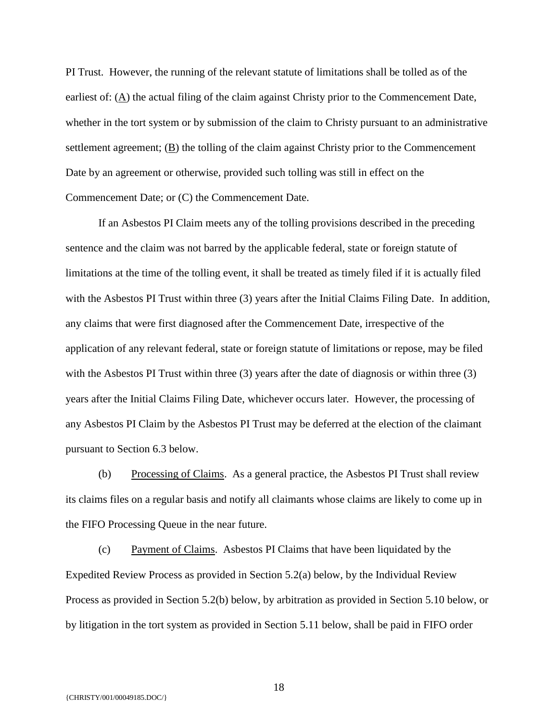PI Trust. However, the running of the relevant statute of limitations shall be tolled as of the earliest of: (A) the actual filing of the claim against Christy prior to the Commencement Date, whether in the tort system or by submission of the claim to Christy pursuant to an administrative settlement agreement; (B) the tolling of the claim against Christy prior to the Commencement Date by an agreement or otherwise, provided such tolling was still in effect on the Commencement Date; or (C) the Commencement Date.

If an Asbestos PI Claim meets any of the tolling provisions described in the preceding sentence and the claim was not barred by the applicable federal, state or foreign statute of limitations at the time of the tolling event, it shall be treated as timely filed if it is actually filed with the Asbestos PI Trust within three (3) years after the Initial Claims Filing Date. In addition, any claims that were first diagnosed after the Commencement Date, irrespective of the application of any relevant federal, state or foreign statute of limitations or repose, may be filed with the Asbestos PI Trust within three (3) years after the date of diagnosis or within three (3) years after the Initial Claims Filing Date, whichever occurs later. However, the processing of any Asbestos PI Claim by the Asbestos PI Trust may be deferred at the election of the claimant pursuant to Section 6.3 below.

(b) Processing of Claims. As a general practice, the Asbestos PI Trust shall review its claims files on a regular basis and notify all claimants whose claims are likely to come up in the FIFO Processing Queue in the near future.

(c) Payment of Claims. Asbestos PI Claims that have been liquidated by the Expedited Review Process as provided in Section 5.2(a) below, by the Individual Review Process as provided in Section 5.2(b) below, by arbitration as provided in Section 5.10 below, or by litigation in the tort system as provided in Section 5.11 below, shall be paid in FIFO order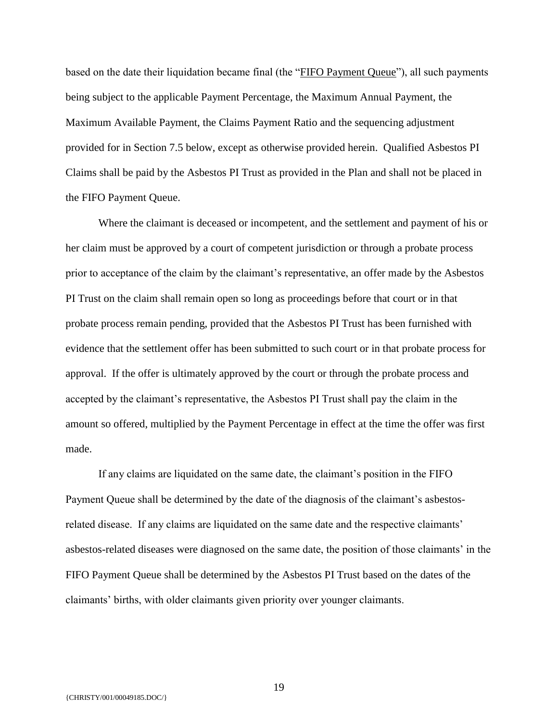based on the date their liquidation became final (the "FIFO Payment Queue"), all such payments being subject to the applicable Payment Percentage, the Maximum Annual Payment, the Maximum Available Payment, the Claims Payment Ratio and the sequencing adjustment provided for in Section 7.5 below, except as otherwise provided herein. Qualified Asbestos PI Claims shall be paid by the Asbestos PI Trust as provided in the Plan and shall not be placed in the FIFO Payment Queue.

Where the claimant is deceased or incompetent, and the settlement and payment of his or her claim must be approved by a court of competent jurisdiction or through a probate process prior to acceptance of the claim by the claimant's representative, an offer made by the Asbestos PI Trust on the claim shall remain open so long as proceedings before that court or in that probate process remain pending, provided that the Asbestos PI Trust has been furnished with evidence that the settlement offer has been submitted to such court or in that probate process for approval. If the offer is ultimately approved by the court or through the probate process and accepted by the claimant's representative, the Asbestos PI Trust shall pay the claim in the amount so offered, multiplied by the Payment Percentage in effect at the time the offer was first made.

If any claims are liquidated on the same date, the claimant's position in the FIFO Payment Queue shall be determined by the date of the diagnosis of the claimant's asbestosrelated disease. If any claims are liquidated on the same date and the respective claimants' asbestos-related diseases were diagnosed on the same date, the position of those claimants' in the FIFO Payment Queue shall be determined by the Asbestos PI Trust based on the dates of the claimants' births, with older claimants given priority over younger claimants.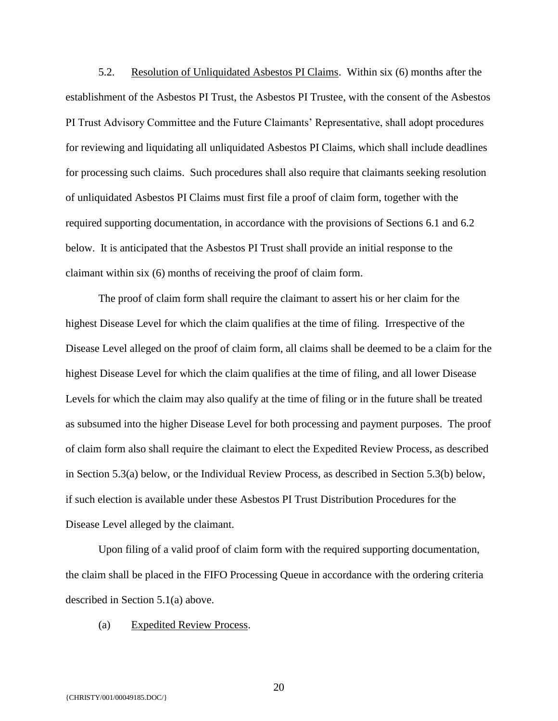5.2. Resolution of Unliquidated Asbestos PI Claims. Within six (6) months after the establishment of the Asbestos PI Trust, the Asbestos PI Trustee, with the consent of the Asbestos PI Trust Advisory Committee and the Future Claimants' Representative, shall adopt procedures for reviewing and liquidating all unliquidated Asbestos PI Claims, which shall include deadlines for processing such claims. Such procedures shall also require that claimants seeking resolution of unliquidated Asbestos PI Claims must first file a proof of claim form, together with the required supporting documentation, in accordance with the provisions of Sections 6.1 and 6.2 below. It is anticipated that the Asbestos PI Trust shall provide an initial response to the claimant within six (6) months of receiving the proof of claim form.

The proof of claim form shall require the claimant to assert his or her claim for the highest Disease Level for which the claim qualifies at the time of filing. Irrespective of the Disease Level alleged on the proof of claim form, all claims shall be deemed to be a claim for the highest Disease Level for which the claim qualifies at the time of filing, and all lower Disease Levels for which the claim may also qualify at the time of filing or in the future shall be treated as subsumed into the higher Disease Level for both processing and payment purposes. The proof of claim form also shall require the claimant to elect the Expedited Review Process, as described in Section 5.3(a) below, or the Individual Review Process, as described in Section 5.3(b) below, if such election is available under these Asbestos PI Trust Distribution Procedures for the Disease Level alleged by the claimant.

Upon filing of a valid proof of claim form with the required supporting documentation, the claim shall be placed in the FIFO Processing Queue in accordance with the ordering criteria described in Section 5.1(a) above.

(a) Expedited Review Process.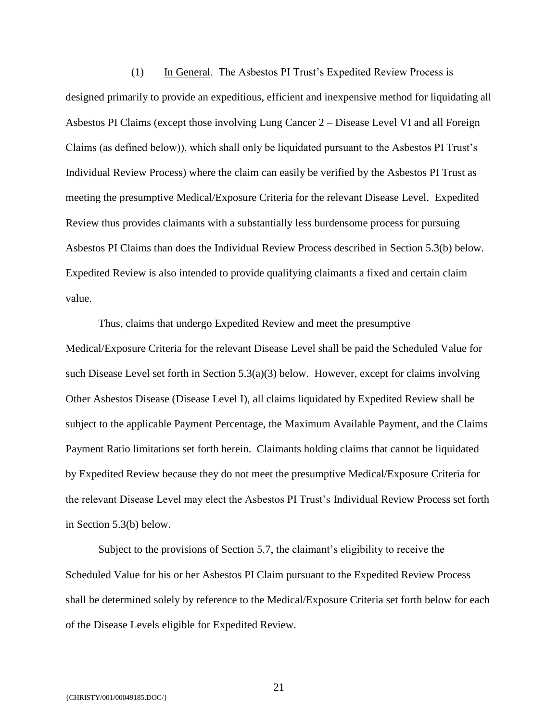(1) In General. The Asbestos PI Trust's Expedited Review Process is designed primarily to provide an expeditious, efficient and inexpensive method for liquidating all Asbestos PI Claims (except those involving Lung Cancer 2 – Disease Level VI and all Foreign Claims (as defined below)), which shall only be liquidated pursuant to the Asbestos PI Trust's Individual Review Process) where the claim can easily be verified by the Asbestos PI Trust as meeting the presumptive Medical/Exposure Criteria for the relevant Disease Level. Expedited Review thus provides claimants with a substantially less burdensome process for pursuing Asbestos PI Claims than does the Individual Review Process described in Section 5.3(b) below. Expedited Review is also intended to provide qualifying claimants a fixed and certain claim value.

Thus, claims that undergo Expedited Review and meet the presumptive Medical/Exposure Criteria for the relevant Disease Level shall be paid the Scheduled Value for such Disease Level set forth in Section 5.3(a)(3) below. However, except for claims involving Other Asbestos Disease (Disease Level I), all claims liquidated by Expedited Review shall be subject to the applicable Payment Percentage, the Maximum Available Payment, and the Claims Payment Ratio limitations set forth herein. Claimants holding claims that cannot be liquidated by Expedited Review because they do not meet the presumptive Medical/Exposure Criteria for the relevant Disease Level may elect the Asbestos PI Trust's Individual Review Process set forth in Section 5.3(b) below.

Subject to the provisions of Section 5.7, the claimant's eligibility to receive the Scheduled Value for his or her Asbestos PI Claim pursuant to the Expedited Review Process shall be determined solely by reference to the Medical/Exposure Criteria set forth below for each of the Disease Levels eligible for Expedited Review.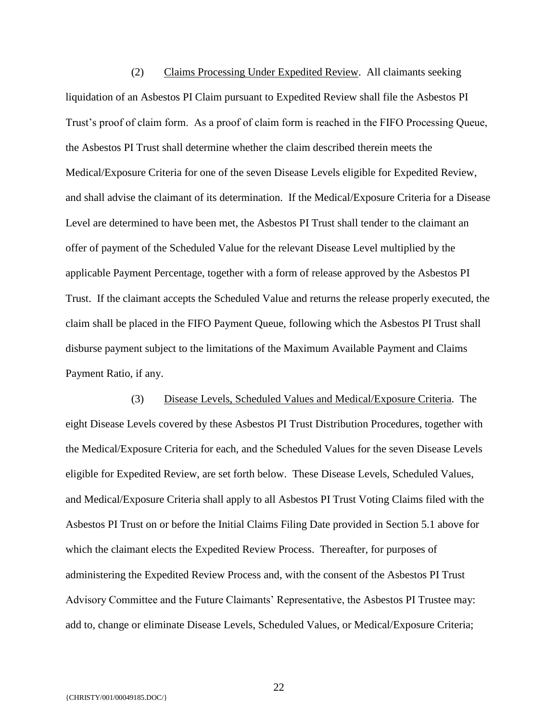(2) Claims Processing Under Expedited Review. All claimants seeking liquidation of an Asbestos PI Claim pursuant to Expedited Review shall file the Asbestos PI Trust's proof of claim form. As a proof of claim form is reached in the FIFO Processing Queue, the Asbestos PI Trust shall determine whether the claim described therein meets the Medical/Exposure Criteria for one of the seven Disease Levels eligible for Expedited Review, and shall advise the claimant of its determination. If the Medical/Exposure Criteria for a Disease Level are determined to have been met, the Asbestos PI Trust shall tender to the claimant an offer of payment of the Scheduled Value for the relevant Disease Level multiplied by the applicable Payment Percentage, together with a form of release approved by the Asbestos PI Trust. If the claimant accepts the Scheduled Value and returns the release properly executed, the claim shall be placed in the FIFO Payment Queue, following which the Asbestos PI Trust shall disburse payment subject to the limitations of the Maximum Available Payment and Claims Payment Ratio, if any.

(3) Disease Levels, Scheduled Values and Medical/Exposure Criteria. The eight Disease Levels covered by these Asbestos PI Trust Distribution Procedures, together with the Medical/Exposure Criteria for each, and the Scheduled Values for the seven Disease Levels eligible for Expedited Review, are set forth below. These Disease Levels, Scheduled Values, and Medical/Exposure Criteria shall apply to all Asbestos PI Trust Voting Claims filed with the Asbestos PI Trust on or before the Initial Claims Filing Date provided in Section 5.1 above for which the claimant elects the Expedited Review Process. Thereafter, for purposes of administering the Expedited Review Process and, with the consent of the Asbestos PI Trust Advisory Committee and the Future Claimants' Representative, the Asbestos PI Trustee may: add to, change or eliminate Disease Levels, Scheduled Values, or Medical/Exposure Criteria;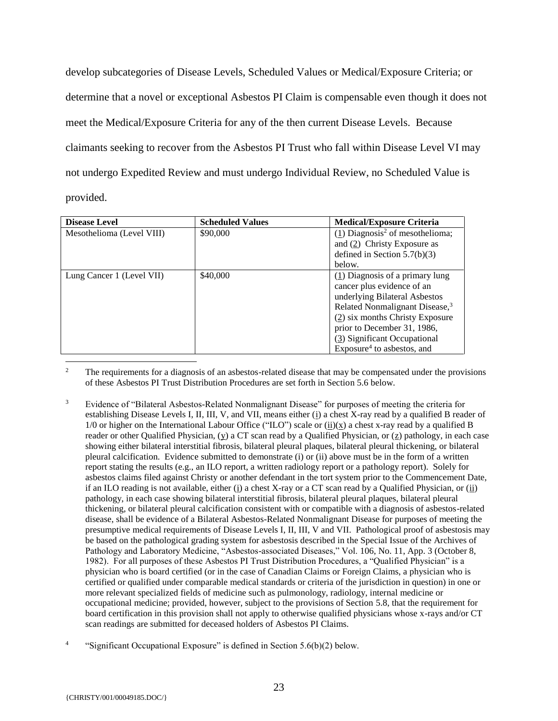develop subcategories of Disease Levels, Scheduled Values or Medical/Exposure Criteria; or determine that a novel or exceptional Asbestos PI Claim is compensable even though it does not meet the Medical/Exposure Criteria for any of the then current Disease Levels. Because claimants seeking to recover from the Asbestos PI Trust who fall within Disease Level VI may not undergo Expedited Review and must undergo Individual Review, no Scheduled Value is provided.

| <b>Disease Level</b>      | <b>Scheduled Values</b> | <b>Medical/Exposure Criteria</b>              |
|---------------------------|-------------------------|-----------------------------------------------|
| Mesothelioma (Level VIII) | \$90,000                | $(1)$ Diagnosis <sup>2</sup> of mesothelioma; |
|                           |                         | and $(2)$ Christy Exposure as                 |
|                           |                         | defined in Section $5.7(b)(3)$                |
|                           |                         | below.                                        |
| Lung Cancer 1 (Level VII) | \$40,000                | $(1)$ Diagnosis of a primary lung             |
|                           |                         | cancer plus evidence of an                    |
|                           |                         | underlying Bilateral Asbestos                 |
|                           |                         | Related Nonmalignant Disease, <sup>3</sup>    |
|                           |                         | $(2)$ six months Christy Exposure             |
|                           |                         | prior to December 31, 1986,                   |
|                           |                         | (3) Significant Occupational                  |
|                           |                         | Exposure <sup>4</sup> to asbestos, and        |

 $\overline{2}$ <sup>2</sup> The requirements for a diagnosis of an asbestos-related disease that may be compensated under the provisions of these Asbestos PI Trust Distribution Procedures are set forth in Section 5.6 below.

<sup>3</sup> Evidence of "Bilateral Asbestos-Related Nonmalignant Disease" for purposes of meeting the criteria for establishing Disease Levels I, II, III, V, and VII, means either (i) a chest X-ray read by a qualified B reader of 1/0 or higher on the International Labour Office ("ILO") scale or (ii)(x) a chest x-ray read by a qualified B reader or other Qualified Physician,  $(y)$  a CT scan read by a Qualified Physician, or  $(z)$  pathology, in each case showing either bilateral interstitial fibrosis, bilateral pleural plaques, bilateral pleural thickening, or bilateral pleural calcification. Evidence submitted to demonstrate (i) or (ii) above must be in the form of a written report stating the results (e.g., an ILO report, a written radiology report or a pathology report). Solely for asbestos claims filed against Christy or another defendant in the tort system prior to the Commencement Date, if an ILO reading is not available, either (i) a chest X-ray or a CT scan read by a Qualified Physician, or (ii) pathology, in each case showing bilateral interstitial fibrosis, bilateral pleural plaques, bilateral pleural thickening, or bilateral pleural calcification consistent with or compatible with a diagnosis of asbestos-related disease, shall be evidence of a Bilateral Asbestos-Related Nonmalignant Disease for purposes of meeting the presumptive medical requirements of Disease Levels I, II, III, V and VII. Pathological proof of asbestosis may be based on the pathological grading system for asbestosis described in the Special Issue of the Archives of Pathology and Laboratory Medicine, "Asbestos-associated Diseases," Vol. 106, No. 11, App. 3 (October 8, 1982). For all purposes of these Asbestos PI Trust Distribution Procedures, a "Qualified Physician" is a physician who is board certified (or in the case of Canadian Claims or Foreign Claims, a physician who is certified or qualified under comparable medical standards or criteria of the jurisdiction in question) in one or more relevant specialized fields of medicine such as pulmonology, radiology, internal medicine or occupational medicine; provided, however, subject to the provisions of Section 5.8, that the requirement for board certification in this provision shall not apply to otherwise qualified physicians whose x-rays and/or CT scan readings are submitted for deceased holders of Asbestos PI Claims.

<sup>4</sup> "Significant Occupational Exposure" is defined in Section 5.6(b)(2) below.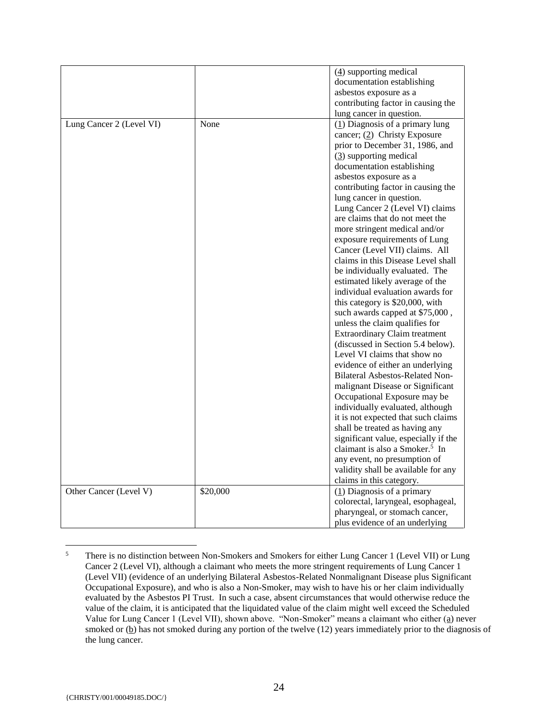|                          |          | $(4)$ supporting medical                   |
|--------------------------|----------|--------------------------------------------|
|                          |          | documentation establishing                 |
|                          |          |                                            |
|                          |          | asbestos exposure as a                     |
|                          |          | contributing factor in causing the         |
|                          |          | lung cancer in question.                   |
| Lung Cancer 2 (Level VI) | None     | $(1)$ Diagnosis of a primary lung          |
|                          |          | cancer; $(2)$ Christy Exposure             |
|                          |          | prior to December 31, 1986, and            |
|                          |          | $(3)$ supporting medical                   |
|                          |          | documentation establishing                 |
|                          |          | asbestos exposure as a                     |
|                          |          | contributing factor in causing the         |
|                          |          | lung cancer in question.                   |
|                          |          | Lung Cancer 2 (Level VI) claims            |
|                          |          | are claims that do not meet the            |
|                          |          | more stringent medical and/or              |
|                          |          | exposure requirements of Lung              |
|                          |          | Cancer (Level VII) claims. All             |
|                          |          | claims in this Disease Level shall         |
|                          |          | be individually evaluated. The             |
|                          |          | estimated likely average of the            |
|                          |          | individual evaluation awards for           |
|                          |          | this category is \$20,000, with            |
|                          |          |                                            |
|                          |          | such awards capped at \$75,000,            |
|                          |          | unless the claim qualifies for             |
|                          |          | <b>Extraordinary Claim treatment</b>       |
|                          |          | (discussed in Section 5.4 below).          |
|                          |          | Level VI claims that show no               |
|                          |          | evidence of either an underlying           |
|                          |          | <b>Bilateral Asbestos-Related Non-</b>     |
|                          |          | malignant Disease or Significant           |
|                          |          | Occupational Exposure may be               |
|                          |          | individually evaluated, although           |
|                          |          | it is not expected that such claims        |
|                          |          | shall be treated as having any             |
|                          |          | significant value, especially if the       |
|                          |          | claimant is also a Smoker. <sup>5</sup> In |
|                          |          | any event, no presumption of               |
|                          |          | validity shall be available for any        |
|                          |          | claims in this category.                   |
| Other Cancer (Level V)   | \$20,000 | $(1)$ Diagnosis of a primary               |
|                          |          | colorectal, laryngeal, esophageal,         |
|                          |          | pharyngeal, or stomach cancer,             |
|                          |          | plus evidence of an underlying             |
|                          |          |                                            |

 $\overline{5}$ <sup>5</sup> There is no distinction between Non-Smokers and Smokers for either Lung Cancer 1 (Level VII) or Lung Cancer 2 (Level VI), although a claimant who meets the more stringent requirements of Lung Cancer 1 (Level VII) (evidence of an underlying Bilateral Asbestos-Related Nonmalignant Disease plus Significant Occupational Exposure), and who is also a Non-Smoker, may wish to have his or her claim individually evaluated by the Asbestos PI Trust. In such a case, absent circumstances that would otherwise reduce the value of the claim, it is anticipated that the liquidated value of the claim might well exceed the Scheduled Value for Lung Cancer 1 (Level VII), shown above. "Non-Smoker" means a claimant who either (a) never smoked or  $(b)$  has not smoked during any portion of the twelve  $(12)$  years immediately prior to the diagnosis of the lung cancer.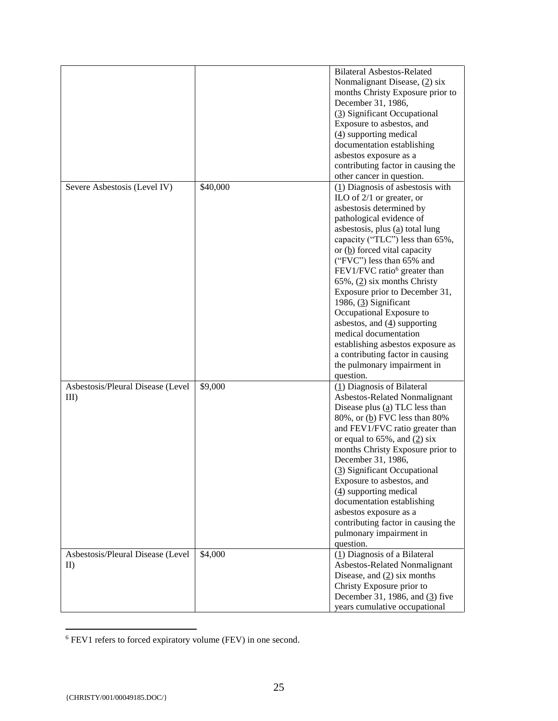|                                   |          | <b>Bilateral Asbestos-Related</b><br>Nonmalignant Disease, (2) six<br>months Christy Exposure prior to |
|-----------------------------------|----------|--------------------------------------------------------------------------------------------------------|
|                                   |          | December 31, 1986,                                                                                     |
|                                   |          | (3) Significant Occupational                                                                           |
|                                   |          | Exposure to asbestos, and                                                                              |
|                                   |          | $(4)$ supporting medical                                                                               |
|                                   |          | documentation establishing                                                                             |
|                                   |          | asbestos exposure as a                                                                                 |
|                                   |          | contributing factor in causing the                                                                     |
|                                   |          | other cancer in question.                                                                              |
| Severe Asbestosis (Level IV)      | \$40,000 | $(1)$ Diagnosis of asbestosis with<br>ILO of $2/1$ or greater, or                                      |
|                                   |          | asbestosis determined by                                                                               |
|                                   |          | pathological evidence of                                                                               |
|                                   |          | asbestosis, plus $(a)$ total lung                                                                      |
|                                   |          | capacity ("TLC") less than 65%,                                                                        |
|                                   |          | or (b) forced vital capacity                                                                           |
|                                   |          | ("FVC") less than 65% and                                                                              |
|                                   |          | FEV1/FVC ratio <sup>6</sup> greater than                                                               |
|                                   |          | $65\%$ , $(2)$ six months Christy                                                                      |
|                                   |          | Exposure prior to December 31,                                                                         |
|                                   |          | 1986, $(3)$ Significant                                                                                |
|                                   |          | Occupational Exposure to                                                                               |
|                                   |          | asbestos, and $(4)$ supporting<br>medical documentation                                                |
|                                   |          |                                                                                                        |
|                                   |          | establishing asbestos exposure as<br>a contributing factor in causing                                  |
|                                   |          | the pulmonary impairment in                                                                            |
|                                   |          | question.                                                                                              |
| Asbestosis/Pleural Disease (Level | \$9,000  | (1) Diagnosis of Bilateral                                                                             |
| $III$ )                           |          | Asbestos-Related Nonmalignant                                                                          |
|                                   |          | Disease plus $(a)$ TLC less than                                                                       |
|                                   |          | 80%, or (b) FVC less than 80%                                                                          |
|                                   |          | and FEV1/FVC ratio greater than                                                                        |
|                                   |          | or equal to $65\%$ , and $(2)$ six                                                                     |
|                                   |          | months Christy Exposure prior to                                                                       |
|                                   |          | December 31, 1986,                                                                                     |
|                                   |          | (3) Significant Occupational                                                                           |
|                                   |          | Exposure to asbestos, and<br>$(4)$ supporting medical                                                  |
|                                   |          | documentation establishing                                                                             |
|                                   |          | asbestos exposure as a                                                                                 |
|                                   |          | contributing factor in causing the                                                                     |
|                                   |          | pulmonary impairment in                                                                                |
|                                   |          | question.                                                                                              |
| Asbestosis/Pleural Disease (Level | \$4,000  | (1) Diagnosis of a Bilateral                                                                           |
| $_{\text{ID}}$                    |          | Asbestos-Related Nonmalignant                                                                          |
|                                   |          | Disease, and $(2)$ six months                                                                          |
|                                   |          | Christy Exposure prior to                                                                              |
|                                   |          | December 31, 1986, and $(3)$ five                                                                      |
|                                   |          | years cumulative occupational                                                                          |

<sup>&</sup>lt;sup>6</sup> FEV1 refers to forced expiratory volume (FEV) in one second.

 $\overline{a}$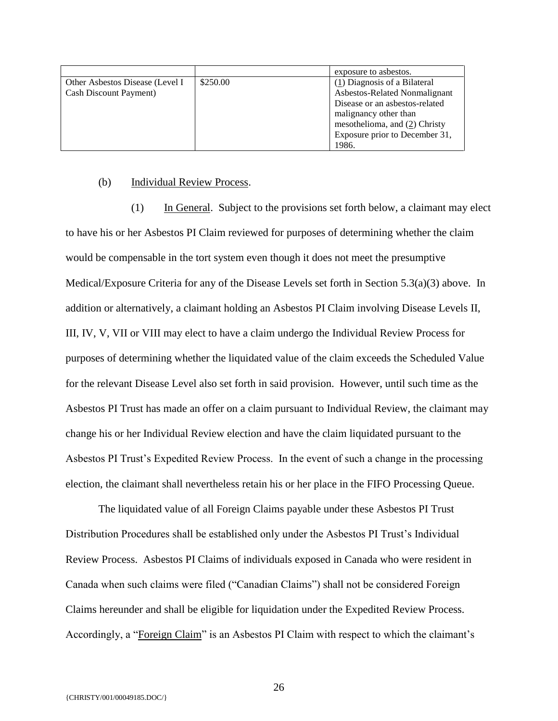|                                 |          | exposure to asbestos.           |
|---------------------------------|----------|---------------------------------|
| Other Asbestos Disease (Level I | \$250.00 | (1) Diagnosis of a Bilateral    |
| Cash Discount Payment)          |          | Asbestos-Related Nonmalignant   |
|                                 |          | Disease or an asbestos-related  |
|                                 |          | malignancy other than           |
|                                 |          | mesothelioma, and $(2)$ Christy |
|                                 |          | Exposure prior to December 31,  |
|                                 |          | 1986.                           |

#### (b) Individual Review Process.

(1) In General. Subject to the provisions set forth below, a claimant may elect to have his or her Asbestos PI Claim reviewed for purposes of determining whether the claim would be compensable in the tort system even though it does not meet the presumptive Medical/Exposure Criteria for any of the Disease Levels set forth in Section 5.3(a)(3) above. In addition or alternatively, a claimant holding an Asbestos PI Claim involving Disease Levels II, III, IV, V, VII or VIII may elect to have a claim undergo the Individual Review Process for purposes of determining whether the liquidated value of the claim exceeds the Scheduled Value for the relevant Disease Level also set forth in said provision. However, until such time as the Asbestos PI Trust has made an offer on a claim pursuant to Individual Review, the claimant may change his or her Individual Review election and have the claim liquidated pursuant to the Asbestos PI Trust's Expedited Review Process. In the event of such a change in the processing election, the claimant shall nevertheless retain his or her place in the FIFO Processing Queue.

The liquidated value of all Foreign Claims payable under these Asbestos PI Trust Distribution Procedures shall be established only under the Asbestos PI Trust's Individual Review Process. Asbestos PI Claims of individuals exposed in Canada who were resident in Canada when such claims were filed ("Canadian Claims") shall not be considered Foreign Claims hereunder and shall be eligible for liquidation under the Expedited Review Process. Accordingly, a "Foreign Claim" is an Asbestos PI Claim with respect to which the claimant's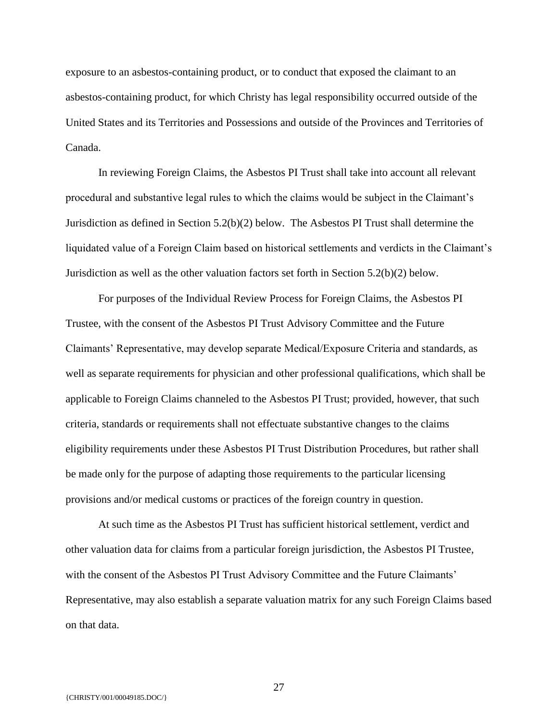exposure to an asbestos-containing product, or to conduct that exposed the claimant to an asbestos-containing product, for which Christy has legal responsibility occurred outside of the United States and its Territories and Possessions and outside of the Provinces and Territories of Canada.

In reviewing Foreign Claims, the Asbestos PI Trust shall take into account all relevant procedural and substantive legal rules to which the claims would be subject in the Claimant's Jurisdiction as defined in Section 5.2(b)(2) below. The Asbestos PI Trust shall determine the liquidated value of a Foreign Claim based on historical settlements and verdicts in the Claimant's Jurisdiction as well as the other valuation factors set forth in Section 5.2(b)(2) below.

For purposes of the Individual Review Process for Foreign Claims, the Asbestos PI Trustee, with the consent of the Asbestos PI Trust Advisory Committee and the Future Claimants' Representative, may develop separate Medical/Exposure Criteria and standards, as well as separate requirements for physician and other professional qualifications, which shall be applicable to Foreign Claims channeled to the Asbestos PI Trust; provided, however, that such criteria, standards or requirements shall not effectuate substantive changes to the claims eligibility requirements under these Asbestos PI Trust Distribution Procedures, but rather shall be made only for the purpose of adapting those requirements to the particular licensing provisions and/or medical customs or practices of the foreign country in question.

At such time as the Asbestos PI Trust has sufficient historical settlement, verdict and other valuation data for claims from a particular foreign jurisdiction, the Asbestos PI Trustee, with the consent of the Asbestos PI Trust Advisory Committee and the Future Claimants' Representative, may also establish a separate valuation matrix for any such Foreign Claims based on that data.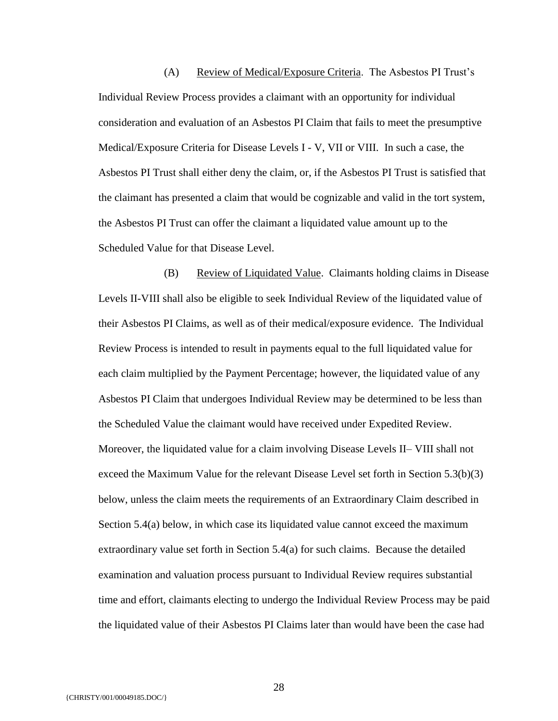(A) Review of Medical/Exposure Criteria. The Asbestos PI Trust's Individual Review Process provides a claimant with an opportunity for individual consideration and evaluation of an Asbestos PI Claim that fails to meet the presumptive Medical/Exposure Criteria for Disease Levels I - V, VII or VIII. In such a case, the Asbestos PI Trust shall either deny the claim, or, if the Asbestos PI Trust is satisfied that the claimant has presented a claim that would be cognizable and valid in the tort system, the Asbestos PI Trust can offer the claimant a liquidated value amount up to the Scheduled Value for that Disease Level.

(B) Review of Liquidated Value. Claimants holding claims in Disease Levels II-VIII shall also be eligible to seek Individual Review of the liquidated value of their Asbestos PI Claims, as well as of their medical/exposure evidence. The Individual Review Process is intended to result in payments equal to the full liquidated value for each claim multiplied by the Payment Percentage; however, the liquidated value of any Asbestos PI Claim that undergoes Individual Review may be determined to be less than the Scheduled Value the claimant would have received under Expedited Review. Moreover, the liquidated value for a claim involving Disease Levels II– VIII shall not exceed the Maximum Value for the relevant Disease Level set forth in Section 5.3(b)(3) below, unless the claim meets the requirements of an Extraordinary Claim described in Section 5.4(a) below, in which case its liquidated value cannot exceed the maximum extraordinary value set forth in Section 5.4(a) for such claims. Because the detailed examination and valuation process pursuant to Individual Review requires substantial time and effort, claimants electing to undergo the Individual Review Process may be paid the liquidated value of their Asbestos PI Claims later than would have been the case had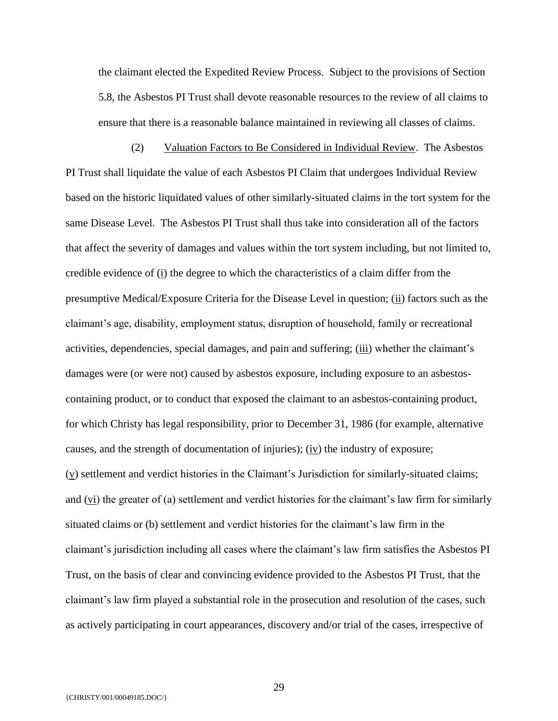the claimant elected the Expedited Review Process. Subject to the provisions of Section 5.8, the Asbestos PI Trust shall devote reasonable resources to the review of all claims to ensure that there is a reasonable balance maintained in reviewing all classes of claims.

(2) Valuation Factors to Be Considered in Individual Review. The Asbestos PI Trust shall liquidate the value of each Asbestos PI Claim that undergoes Individual Review based on the historic liquidated values of other similarly-situated claims in the tort system for the same Disease Level. The Asbestos PI Trust shall thus take into consideration all of the factors that affect the severity of damages and values within the tort system including, but not limited to, credible evidence of (i) the degree to which the characteristics of a claim differ from the presumptive Medical/Exposure Criteria for the Disease Level in question; (ii) factors such as the claimant's age, disability, employment status, disruption of household, family or recreational activities, dependencies, special damages, and pain and suffering; (iii) whether the claimant's damages were (or were not) caused by asbestos exposure, including exposure to an asbestoscontaining product, or to conduct that exposed the claimant to an asbestos-containing product, for which Christy has legal responsibility, prior to December 31, 1986 (for example, alternative causes, and the strength of documentation of injuries); (iv) the industry of exposure; (v) settlement and verdict histories in the Claimant's Jurisdiction for similarly-situated claims; and  $(v_i)$  the greater of (a) settlement and verdict histories for the claimant's law firm for similarly situated claims or (b) settlement and verdict histories for the claimant's law firm in the claimant's jurisdiction including all cases where the claimant's law firm satisfies the Asbestos PI Trust, on the basis of clear and convincing evidence provided to the Asbestos PI Trust, that the claimant's law firm played a substantial role in the prosecution and resolution of the cases, such as actively participating in court appearances, discovery and/or trial of the cases, irrespective of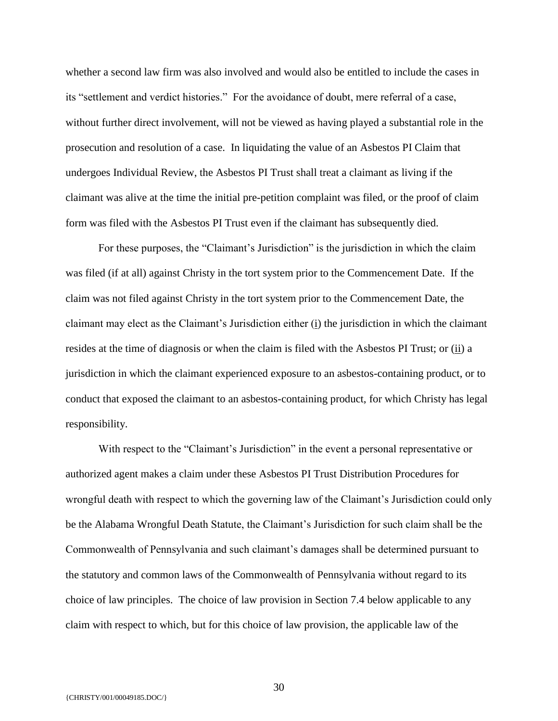whether a second law firm was also involved and would also be entitled to include the cases in its "settlement and verdict histories." For the avoidance of doubt, mere referral of a case, without further direct involvement, will not be viewed as having played a substantial role in the prosecution and resolution of a case. In liquidating the value of an Asbestos PI Claim that undergoes Individual Review, the Asbestos PI Trust shall treat a claimant as living if the claimant was alive at the time the initial pre-petition complaint was filed, or the proof of claim form was filed with the Asbestos PI Trust even if the claimant has subsequently died.

For these purposes, the "Claimant's Jurisdiction" is the jurisdiction in which the claim was filed (if at all) against Christy in the tort system prior to the Commencement Date. If the claim was not filed against Christy in the tort system prior to the Commencement Date, the claimant may elect as the Claimant's Jurisdiction either (i) the jurisdiction in which the claimant resides at the time of diagnosis or when the claim is filed with the Asbestos PI Trust; or (ii) a jurisdiction in which the claimant experienced exposure to an asbestos-containing product, or to conduct that exposed the claimant to an asbestos-containing product, for which Christy has legal responsibility.

With respect to the "Claimant's Jurisdiction" in the event a personal representative or authorized agent makes a claim under these Asbestos PI Trust Distribution Procedures for wrongful death with respect to which the governing law of the Claimant's Jurisdiction could only be the Alabama Wrongful Death Statute, the Claimant's Jurisdiction for such claim shall be the Commonwealth of Pennsylvania and such claimant's damages shall be determined pursuant to the statutory and common laws of the Commonwealth of Pennsylvania without regard to its choice of law principles. The choice of law provision in Section 7.4 below applicable to any claim with respect to which, but for this choice of law provision, the applicable law of the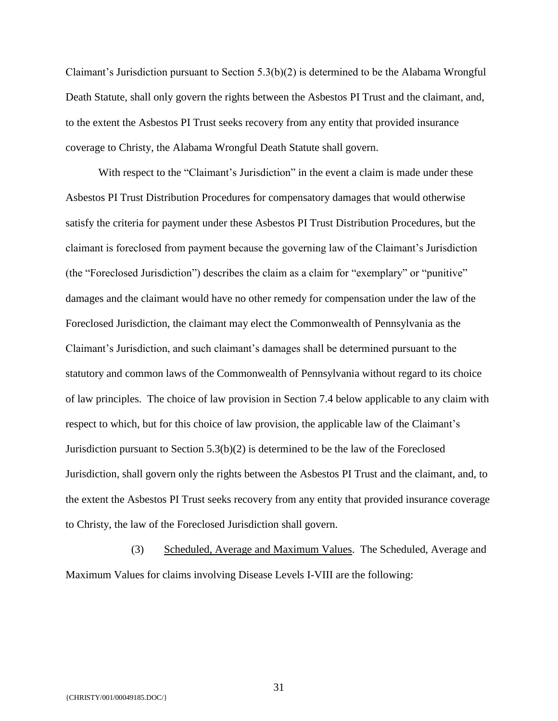Claimant's Jurisdiction pursuant to Section 5.3(b)(2) is determined to be the Alabama Wrongful Death Statute, shall only govern the rights between the Asbestos PI Trust and the claimant, and, to the extent the Asbestos PI Trust seeks recovery from any entity that provided insurance coverage to Christy, the Alabama Wrongful Death Statute shall govern.

With respect to the "Claimant's Jurisdiction" in the event a claim is made under these Asbestos PI Trust Distribution Procedures for compensatory damages that would otherwise satisfy the criteria for payment under these Asbestos PI Trust Distribution Procedures, but the claimant is foreclosed from payment because the governing law of the Claimant's Jurisdiction (the "Foreclosed Jurisdiction") describes the claim as a claim for "exemplary" or "punitive" damages and the claimant would have no other remedy for compensation under the law of the Foreclosed Jurisdiction, the claimant may elect the Commonwealth of Pennsylvania as the Claimant's Jurisdiction, and such claimant's damages shall be determined pursuant to the statutory and common laws of the Commonwealth of Pennsylvania without regard to its choice of law principles. The choice of law provision in Section 7.4 below applicable to any claim with respect to which, but for this choice of law provision, the applicable law of the Claimant's Jurisdiction pursuant to Section  $5.3(b)(2)$  is determined to be the law of the Foreclosed Jurisdiction, shall govern only the rights between the Asbestos PI Trust and the claimant, and, to the extent the Asbestos PI Trust seeks recovery from any entity that provided insurance coverage to Christy, the law of the Foreclosed Jurisdiction shall govern.

(3) Scheduled, Average and Maximum Values. The Scheduled, Average and Maximum Values for claims involving Disease Levels I-VIII are the following: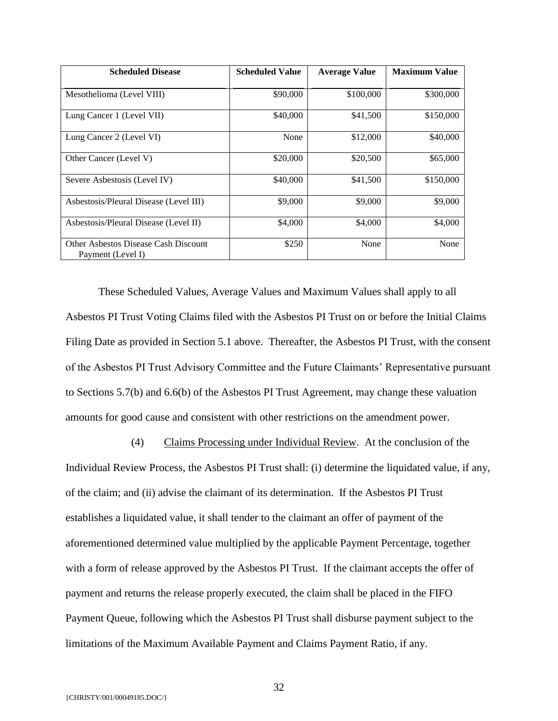| <b>Scheduled Disease</b>                                  | <b>Scheduled Value</b> | <b>Average Value</b> | <b>Maximum Value</b> |
|-----------------------------------------------------------|------------------------|----------------------|----------------------|
| Mesothelioma (Level VIII)                                 | \$90,000               | \$100,000            | \$300,000            |
| Lung Cancer 1 (Level VII)                                 | \$40,000               | \$41,500             | \$150,000            |
| Lung Cancer 2 (Level VI)                                  | None                   | \$12,000             | \$40,000             |
| Other Cancer (Level V)                                    | \$20,000               | \$20,500             | \$65,000             |
| Severe Asbestosis (Level IV)                              | \$40,000               | \$41,500             | \$150,000            |
| Asbestosis/Pleural Disease (Level III)                    | \$9,000                | \$9,000              | \$9,000              |
| Asbestosis/Pleural Disease (Level II)                     | \$4,000                | \$4,000              | \$4,000              |
| Other Asbestos Disease Cash Discount<br>Payment (Level I) | \$250                  | None                 | None                 |

These Scheduled Values, Average Values and Maximum Values shall apply to all Asbestos PI Trust Voting Claims filed with the Asbestos PI Trust on or before the Initial Claims Filing Date as provided in Section 5.1 above. Thereafter, the Asbestos PI Trust, with the consent of the Asbestos PI Trust Advisory Committee and the Future Claimants' Representative pursuant to Sections 5.7(b) and 6.6(b) of the Asbestos PI Trust Agreement, may change these valuation amounts for good cause and consistent with other restrictions on the amendment power.

(4) Claims Processing under Individual Review. At the conclusion of the Individual Review Process, the Asbestos PI Trust shall: (i) determine the liquidated value, if any, of the claim; and (ii) advise the claimant of its determination. If the Asbestos PI Trust establishes a liquidated value, it shall tender to the claimant an offer of payment of the aforementioned determined value multiplied by the applicable Payment Percentage, together with a form of release approved by the Asbestos PI Trust. If the claimant accepts the offer of payment and returns the release properly executed, the claim shall be placed in the FIFO Payment Queue, following which the Asbestos PI Trust shall disburse payment subject to the limitations of the Maximum Available Payment and Claims Payment Ratio, if any.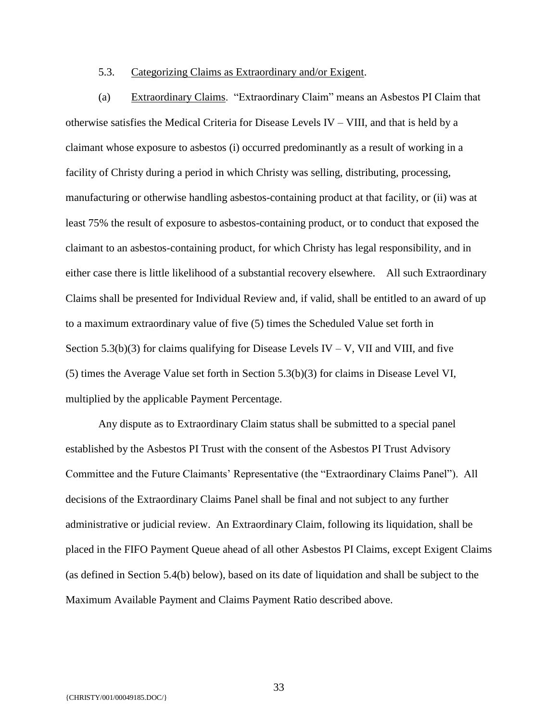#### 5.3. Categorizing Claims as Extraordinary and/or Exigent.

(a) Extraordinary Claims. "Extraordinary Claim" means an Asbestos PI Claim that otherwise satisfies the Medical Criteria for Disease Levels IV – VIII, and that is held by a claimant whose exposure to asbestos (i) occurred predominantly as a result of working in a facility of Christy during a period in which Christy was selling, distributing, processing, manufacturing or otherwise handling asbestos-containing product at that facility, or (ii) was at least 75% the result of exposure to asbestos-containing product, or to conduct that exposed the claimant to an asbestos-containing product, for which Christy has legal responsibility, and in either case there is little likelihood of a substantial recovery elsewhere. All such Extraordinary Claims shall be presented for Individual Review and, if valid, shall be entitled to an award of up to a maximum extraordinary value of five (5) times the Scheduled Value set forth in Section 5.3(b)(3) for claims qualifying for Disease Levels IV – V, VII and VIII, and five (5) times the Average Value set forth in Section 5.3(b)(3) for claims in Disease Level VI, multiplied by the applicable Payment Percentage.

Any dispute as to Extraordinary Claim status shall be submitted to a special panel established by the Asbestos PI Trust with the consent of the Asbestos PI Trust Advisory Committee and the Future Claimants' Representative (the "Extraordinary Claims Panel"). All decisions of the Extraordinary Claims Panel shall be final and not subject to any further administrative or judicial review. An Extraordinary Claim, following its liquidation, shall be placed in the FIFO Payment Queue ahead of all other Asbestos PI Claims, except Exigent Claims (as defined in Section 5.4(b) below), based on its date of liquidation and shall be subject to the Maximum Available Payment and Claims Payment Ratio described above.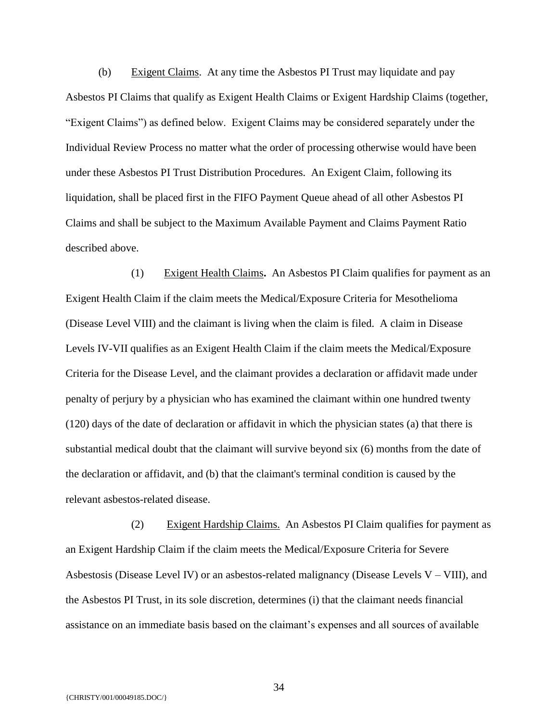(b) Exigent Claims. At any time the Asbestos PI Trust may liquidate and pay Asbestos PI Claims that qualify as Exigent Health Claims or Exigent Hardship Claims (together, "Exigent Claims") as defined below. Exigent Claims may be considered separately under the Individual Review Process no matter what the order of processing otherwise would have been under these Asbestos PI Trust Distribution Procedures. An Exigent Claim, following its liquidation, shall be placed first in the FIFO Payment Queue ahead of all other Asbestos PI Claims and shall be subject to the Maximum Available Payment and Claims Payment Ratio described above.

(1) Exigent Health Claims**.** An Asbestos PI Claim qualifies for payment as an Exigent Health Claim if the claim meets the Medical/Exposure Criteria for Mesothelioma (Disease Level VIII) and the claimant is living when the claim is filed. A claim in Disease Levels IV-VII qualifies as an Exigent Health Claim if the claim meets the Medical/Exposure Criteria for the Disease Level, and the claimant provides a declaration or affidavit made under penalty of perjury by a physician who has examined the claimant within one hundred twenty (120) days of the date of declaration or affidavit in which the physician states (a) that there is substantial medical doubt that the claimant will survive beyond six (6) months from the date of the declaration or affidavit, and (b) that the claimant's terminal condition is caused by the relevant asbestos-related disease.

(2) Exigent Hardship Claims. An Asbestos PI Claim qualifies for payment as an Exigent Hardship Claim if the claim meets the Medical/Exposure Criteria for Severe Asbestosis (Disease Level IV) or an asbestos-related malignancy (Disease Levels  $V - VIII$ ), and the Asbestos PI Trust, in its sole discretion, determines (i) that the claimant needs financial assistance on an immediate basis based on the claimant's expenses and all sources of available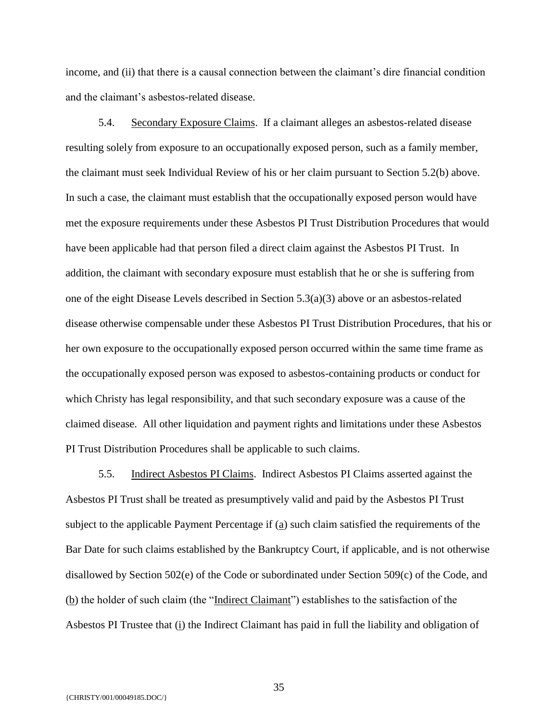income, and (ii) that there is a causal connection between the claimant's dire financial condition and the claimant's asbestos-related disease.

5.4. Secondary Exposure Claims. If a claimant alleges an asbestos-related disease resulting solely from exposure to an occupationally exposed person, such as a family member, the claimant must seek Individual Review of his or her claim pursuant to Section 5.2(b) above. In such a case, the claimant must establish that the occupationally exposed person would have met the exposure requirements under these Asbestos PI Trust Distribution Procedures that would have been applicable had that person filed a direct claim against the Asbestos PI Trust. In addition, the claimant with secondary exposure must establish that he or she is suffering from one of the eight Disease Levels described in Section  $5.3(a)(3)$  above or an asbestos-related disease otherwise compensable under these Asbestos PI Trust Distribution Procedures, that his or her own exposure to the occupationally exposed person occurred within the same time frame as the occupationally exposed person was exposed to asbestos-containing products or conduct for which Christy has legal responsibility, and that such secondary exposure was a cause of the claimed disease. All other liquidation and payment rights and limitations under these Asbestos PI Trust Distribution Procedures shall be applicable to such claims.

5.5. Indirect Asbestos PI Claims. Indirect Asbestos PI Claims asserted against the Asbestos PI Trust shall be treated as presumptively valid and paid by the Asbestos PI Trust subject to the applicable Payment Percentage if (a) such claim satisfied the requirements of the Bar Date for such claims established by the Bankruptcy Court, if applicable, and is not otherwise disallowed by Section 502(e) of the Code or subordinated under Section 509(c) of the Code, and (b) the holder of such claim (the "Indirect Claimant") establishes to the satisfaction of the Asbestos PI Trustee that (i) the Indirect Claimant has paid in full the liability and obligation of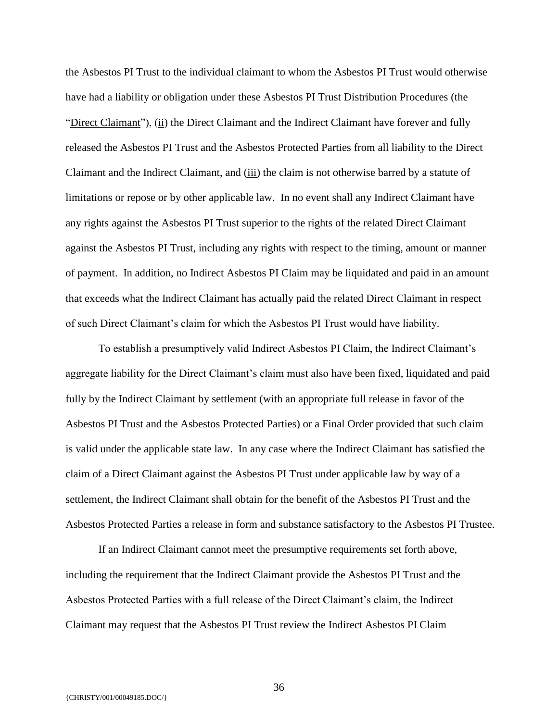the Asbestos PI Trust to the individual claimant to whom the Asbestos PI Trust would otherwise have had a liability or obligation under these Asbestos PI Trust Distribution Procedures (the "Direct Claimant"), (ii) the Direct Claimant and the Indirect Claimant have forever and fully released the Asbestos PI Trust and the Asbestos Protected Parties from all liability to the Direct Claimant and the Indirect Claimant, and (iii) the claim is not otherwise barred by a statute of limitations or repose or by other applicable law. In no event shall any Indirect Claimant have any rights against the Asbestos PI Trust superior to the rights of the related Direct Claimant against the Asbestos PI Trust, including any rights with respect to the timing, amount or manner of payment. In addition, no Indirect Asbestos PI Claim may be liquidated and paid in an amount that exceeds what the Indirect Claimant has actually paid the related Direct Claimant in respect of such Direct Claimant's claim for which the Asbestos PI Trust would have liability.

To establish a presumptively valid Indirect Asbestos PI Claim, the Indirect Claimant's aggregate liability for the Direct Claimant's claim must also have been fixed, liquidated and paid fully by the Indirect Claimant by settlement (with an appropriate full release in favor of the Asbestos PI Trust and the Asbestos Protected Parties) or a Final Order provided that such claim is valid under the applicable state law. In any case where the Indirect Claimant has satisfied the claim of a Direct Claimant against the Asbestos PI Trust under applicable law by way of a settlement, the Indirect Claimant shall obtain for the benefit of the Asbestos PI Trust and the Asbestos Protected Parties a release in form and substance satisfactory to the Asbestos PI Trustee.

If an Indirect Claimant cannot meet the presumptive requirements set forth above, including the requirement that the Indirect Claimant provide the Asbestos PI Trust and the Asbestos Protected Parties with a full release of the Direct Claimant's claim, the Indirect Claimant may request that the Asbestos PI Trust review the Indirect Asbestos PI Claim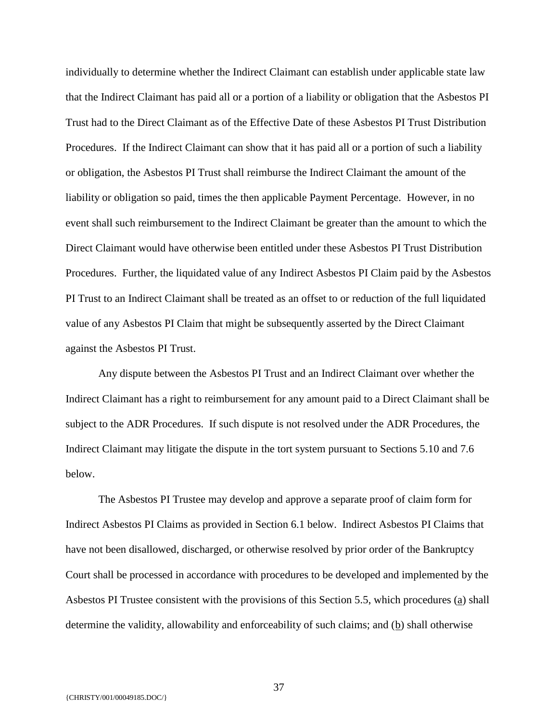individually to determine whether the Indirect Claimant can establish under applicable state law that the Indirect Claimant has paid all or a portion of a liability or obligation that the Asbestos PI Trust had to the Direct Claimant as of the Effective Date of these Asbestos PI Trust Distribution Procedures. If the Indirect Claimant can show that it has paid all or a portion of such a liability or obligation, the Asbestos PI Trust shall reimburse the Indirect Claimant the amount of the liability or obligation so paid, times the then applicable Payment Percentage. However, in no event shall such reimbursement to the Indirect Claimant be greater than the amount to which the Direct Claimant would have otherwise been entitled under these Asbestos PI Trust Distribution Procedures. Further, the liquidated value of any Indirect Asbestos PI Claim paid by the Asbestos PI Trust to an Indirect Claimant shall be treated as an offset to or reduction of the full liquidated value of any Asbestos PI Claim that might be subsequently asserted by the Direct Claimant against the Asbestos PI Trust.

Any dispute between the Asbestos PI Trust and an Indirect Claimant over whether the Indirect Claimant has a right to reimbursement for any amount paid to a Direct Claimant shall be subject to the ADR Procedures. If such dispute is not resolved under the ADR Procedures, the Indirect Claimant may litigate the dispute in the tort system pursuant to Sections 5.10 and 7.6 below.

The Asbestos PI Trustee may develop and approve a separate proof of claim form for Indirect Asbestos PI Claims as provided in Section 6.1 below. Indirect Asbestos PI Claims that have not been disallowed, discharged, or otherwise resolved by prior order of the Bankruptcy Court shall be processed in accordance with procedures to be developed and implemented by the Asbestos PI Trustee consistent with the provisions of this Section 5.5, which procedures (a) shall determine the validity, allowability and enforceability of such claims; and  $(b)$  shall otherwise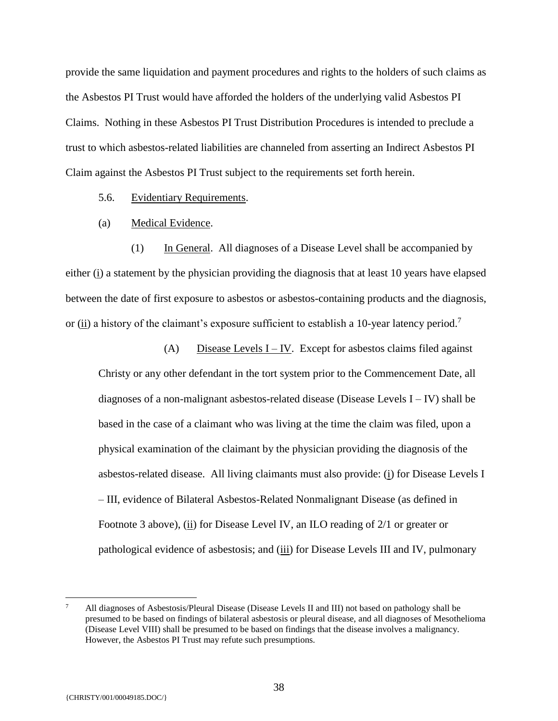provide the same liquidation and payment procedures and rights to the holders of such claims as the Asbestos PI Trust would have afforded the holders of the underlying valid Asbestos PI Claims. Nothing in these Asbestos PI Trust Distribution Procedures is intended to preclude a trust to which asbestos-related liabilities are channeled from asserting an Indirect Asbestos PI Claim against the Asbestos PI Trust subject to the requirements set forth herein.

5.6. Evidentiary Requirements.

(a) Medical Evidence.

(1) In General. All diagnoses of a Disease Level shall be accompanied by either (i) a statement by the physician providing the diagnosis that at least 10 years have elapsed between the date of first exposure to asbestos or asbestos-containing products and the diagnosis, or  $(i)$  a history of the claimant's exposure sufficient to establish a 10-year latency period.<sup>7</sup>

(A) Disease Levels  $I - IV$ . Except for asbestos claims filed against Christy or any other defendant in the tort system prior to the Commencement Date, all diagnoses of a non-malignant asbestos-related disease (Disease Levels I – IV) shall be based in the case of a claimant who was living at the time the claim was filed, upon a physical examination of the claimant by the physician providing the diagnosis of the asbestos-related disease. All living claimants must also provide: (i) for Disease Levels I – III, evidence of Bilateral Asbestos-Related Nonmalignant Disease (as defined in Footnote 3 above), (ii) for Disease Level IV, an ILO reading of 2/1 or greater or pathological evidence of asbestosis; and (iii) for Disease Levels III and IV, pulmonary

 $\overline{a}$ 

<sup>7</sup> All diagnoses of Asbestosis/Pleural Disease (Disease Levels II and III) not based on pathology shall be presumed to be based on findings of bilateral asbestosis or pleural disease, and all diagnoses of Mesothelioma (Disease Level VIII) shall be presumed to be based on findings that the disease involves a malignancy. However, the Asbestos PI Trust may refute such presumptions.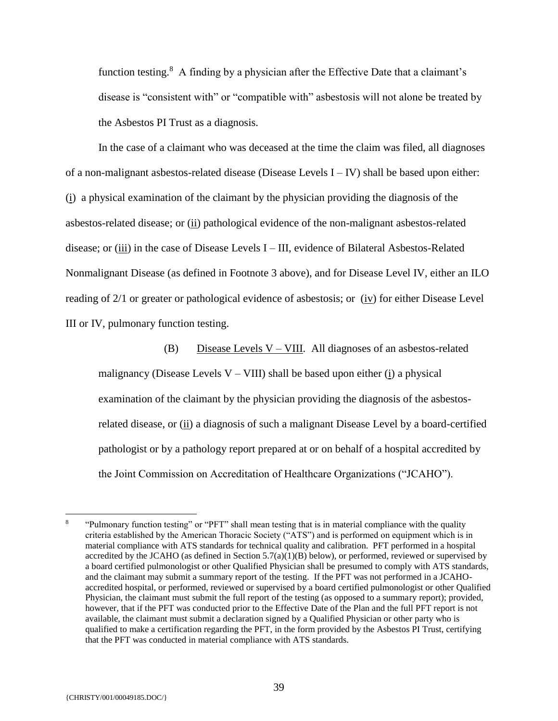function testing.<sup>8</sup> A finding by a physician after the Effective Date that a claimant's disease is "consistent with" or "compatible with" asbestosis will not alone be treated by the Asbestos PI Trust as a diagnosis.

In the case of a claimant who was deceased at the time the claim was filed, all diagnoses of a non-malignant asbestos-related disease (Disease Levels  $I - IV$ ) shall be based upon either: (i) a physical examination of the claimant by the physician providing the diagnosis of the asbestos-related disease; or (ii) pathological evidence of the non-malignant asbestos-related disease; or (iii) in the case of Disease Levels I – III, evidence of Bilateral Asbestos-Related Nonmalignant Disease (as defined in Footnote 3 above), and for Disease Level IV, either an ILO reading of 2/1 or greater or pathological evidence of asbestosis; or (iv) for either Disease Level III or IV, pulmonary function testing.

(B) Disease Levels  $V - VIII$ . All diagnoses of an asbestos-related malignancy (Disease Levels  $V - VIII$ ) shall be based upon either (i) a physical examination of the claimant by the physician providing the diagnosis of the asbestosrelated disease, or (ii) a diagnosis of such a malignant Disease Level by a board-certified pathologist or by a pathology report prepared at or on behalf of a hospital accredited by the Joint Commission on Accreditation of Healthcare Organizations ("JCAHO").

 $\overline{a}$ 

<sup>8</sup> "Pulmonary function testing" or "PFT" shall mean testing that is in material compliance with the quality criteria established by the American Thoracic Society ("ATS") and is performed on equipment which is in material compliance with ATS standards for technical quality and calibration. PFT performed in a hospital accredited by the JCAHO (as defined in Section  $5.7(a)(1)(B)$  below), or performed, reviewed or supervised by a board certified pulmonologist or other Qualified Physician shall be presumed to comply with ATS standards, and the claimant may submit a summary report of the testing. If the PFT was not performed in a JCAHOaccredited hospital, or performed, reviewed or supervised by a board certified pulmonologist or other Qualified Physician, the claimant must submit the full report of the testing (as opposed to a summary report); provided, however, that if the PFT was conducted prior to the Effective Date of the Plan and the full PFT report is not available, the claimant must submit a declaration signed by a Qualified Physician or other party who is qualified to make a certification regarding the PFT, in the form provided by the Asbestos PI Trust, certifying that the PFT was conducted in material compliance with ATS standards.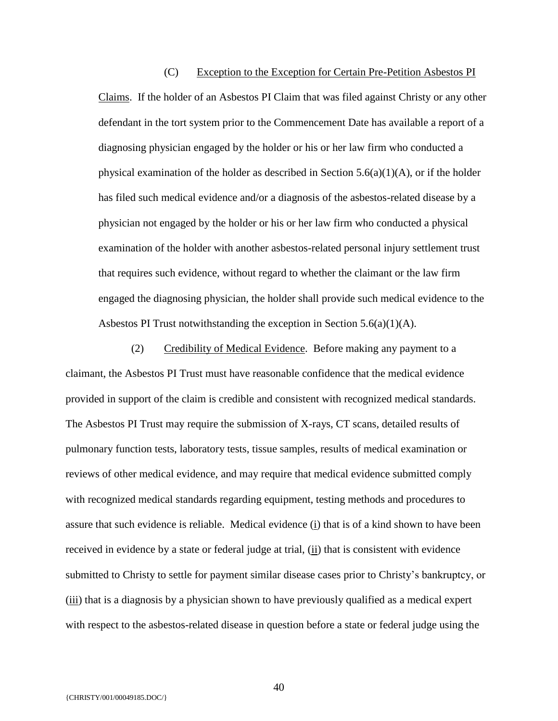(C) Exception to the Exception for Certain Pre-Petition Asbestos PI Claims. If the holder of an Asbestos PI Claim that was filed against Christy or any other defendant in the tort system prior to the Commencement Date has available a report of a diagnosing physician engaged by the holder or his or her law firm who conducted a physical examination of the holder as described in Section  $5.6(a)(1)(A)$ , or if the holder has filed such medical evidence and/or a diagnosis of the asbestos-related disease by a physician not engaged by the holder or his or her law firm who conducted a physical examination of the holder with another asbestos-related personal injury settlement trust that requires such evidence, without regard to whether the claimant or the law firm engaged the diagnosing physician, the holder shall provide such medical evidence to the Asbestos PI Trust notwithstanding the exception in Section 5.6(a)(1)(A).

(2) Credibility of Medical Evidence. Before making any payment to a claimant, the Asbestos PI Trust must have reasonable confidence that the medical evidence provided in support of the claim is credible and consistent with recognized medical standards. The Asbestos PI Trust may require the submission of X-rays, CT scans, detailed results of pulmonary function tests, laboratory tests, tissue samples, results of medical examination or reviews of other medical evidence, and may require that medical evidence submitted comply with recognized medical standards regarding equipment, testing methods and procedures to assure that such evidence is reliable. Medical evidence (i) that is of a kind shown to have been received in evidence by a state or federal judge at trial, (ii) that is consistent with evidence submitted to Christy to settle for payment similar disease cases prior to Christy's bankruptcy, or (iii) that is a diagnosis by a physician shown to have previously qualified as a medical expert with respect to the asbestos-related disease in question before a state or federal judge using the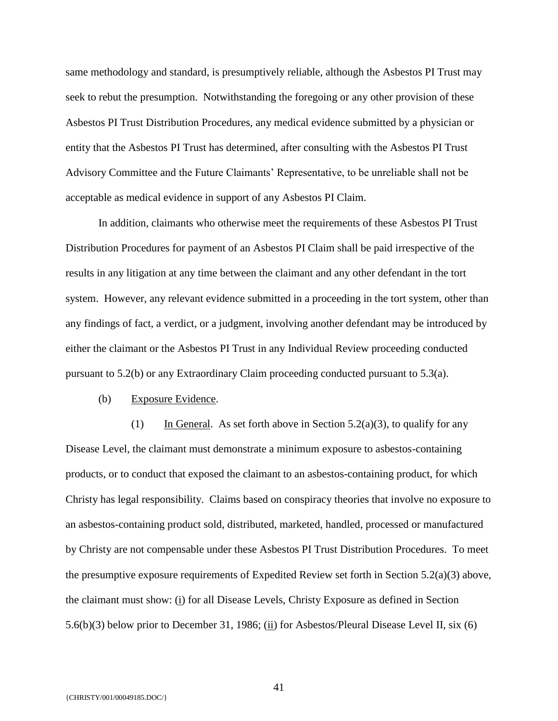same methodology and standard, is presumptively reliable, although the Asbestos PI Trust may seek to rebut the presumption. Notwithstanding the foregoing or any other provision of these Asbestos PI Trust Distribution Procedures, any medical evidence submitted by a physician or entity that the Asbestos PI Trust has determined, after consulting with the Asbestos PI Trust Advisory Committee and the Future Claimants' Representative, to be unreliable shall not be acceptable as medical evidence in support of any Asbestos PI Claim.

In addition, claimants who otherwise meet the requirements of these Asbestos PI Trust Distribution Procedures for payment of an Asbestos PI Claim shall be paid irrespective of the results in any litigation at any time between the claimant and any other defendant in the tort system. However, any relevant evidence submitted in a proceeding in the tort system, other than any findings of fact, a verdict, or a judgment, involving another defendant may be introduced by either the claimant or the Asbestos PI Trust in any Individual Review proceeding conducted pursuant to 5.2(b) or any Extraordinary Claim proceeding conducted pursuant to 5.3(a).

(b) Exposure Evidence.

(1) In General. As set forth above in Section 5.2(a)(3), to qualify for any Disease Level, the claimant must demonstrate a minimum exposure to asbestos-containing products, or to conduct that exposed the claimant to an asbestos-containing product, for which Christy has legal responsibility. Claims based on conspiracy theories that involve no exposure to an asbestos-containing product sold, distributed, marketed, handled, processed or manufactured by Christy are not compensable under these Asbestos PI Trust Distribution Procedures. To meet the presumptive exposure requirements of Expedited Review set forth in Section 5.2(a)(3) above, the claimant must show: (i) for all Disease Levels, Christy Exposure as defined in Section 5.6(b)(3) below prior to December 31, 1986; (ii) for Asbestos/Pleural Disease Level II, six (6)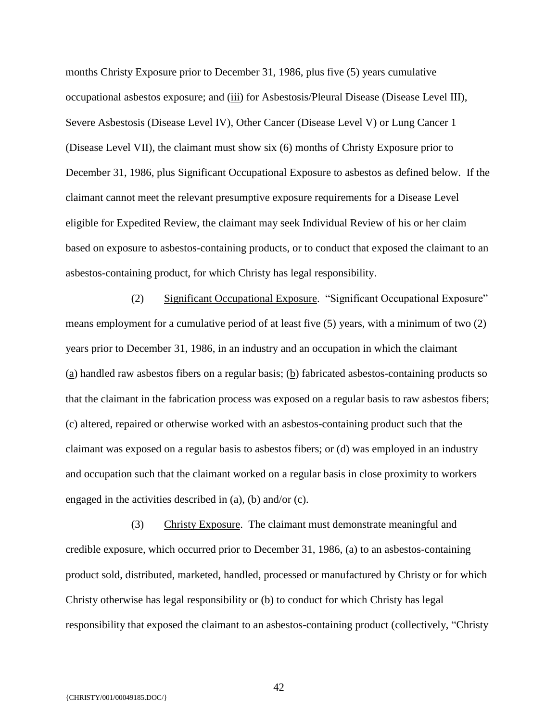months Christy Exposure prior to December 31, 1986, plus five (5) years cumulative occupational asbestos exposure; and (iii) for Asbestosis/Pleural Disease (Disease Level III), Severe Asbestosis (Disease Level IV), Other Cancer (Disease Level V) or Lung Cancer 1 (Disease Level VII), the claimant must show six (6) months of Christy Exposure prior to December 31, 1986, plus Significant Occupational Exposure to asbestos as defined below. If the claimant cannot meet the relevant presumptive exposure requirements for a Disease Level eligible for Expedited Review, the claimant may seek Individual Review of his or her claim based on exposure to asbestos-containing products, or to conduct that exposed the claimant to an asbestos-containing product, for which Christy has legal responsibility.

(2) Significant Occupational Exposure. "Significant Occupational Exposure" means employment for a cumulative period of at least five (5) years, with a minimum of two (2) years prior to December 31, 1986, in an industry and an occupation in which the claimant (a) handled raw asbestos fibers on a regular basis; (b) fabricated asbestos-containing products so that the claimant in the fabrication process was exposed on a regular basis to raw asbestos fibers; (c) altered, repaired or otherwise worked with an asbestos-containing product such that the claimant was exposed on a regular basis to asbestos fibers; or  $(d)$  was employed in an industry and occupation such that the claimant worked on a regular basis in close proximity to workers engaged in the activities described in (a), (b) and/or (c).

(3) Christy Exposure. The claimant must demonstrate meaningful and credible exposure, which occurred prior to December 31, 1986, (a) to an asbestos-containing product sold, distributed, marketed, handled, processed or manufactured by Christy or for which Christy otherwise has legal responsibility or (b) to conduct for which Christy has legal responsibility that exposed the claimant to an asbestos-containing product (collectively, "Christy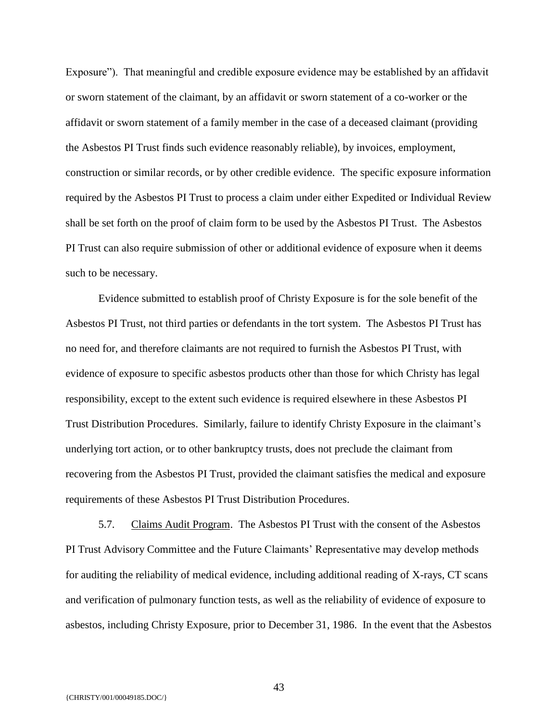Exposure"). That meaningful and credible exposure evidence may be established by an affidavit or sworn statement of the claimant, by an affidavit or sworn statement of a co-worker or the affidavit or sworn statement of a family member in the case of a deceased claimant (providing the Asbestos PI Trust finds such evidence reasonably reliable), by invoices, employment, construction or similar records, or by other credible evidence. The specific exposure information required by the Asbestos PI Trust to process a claim under either Expedited or Individual Review shall be set forth on the proof of claim form to be used by the Asbestos PI Trust. The Asbestos PI Trust can also require submission of other or additional evidence of exposure when it deems such to be necessary.

Evidence submitted to establish proof of Christy Exposure is for the sole benefit of the Asbestos PI Trust, not third parties or defendants in the tort system. The Asbestos PI Trust has no need for, and therefore claimants are not required to furnish the Asbestos PI Trust, with evidence of exposure to specific asbestos products other than those for which Christy has legal responsibility, except to the extent such evidence is required elsewhere in these Asbestos PI Trust Distribution Procedures. Similarly, failure to identify Christy Exposure in the claimant's underlying tort action, or to other bankruptcy trusts, does not preclude the claimant from recovering from the Asbestos PI Trust, provided the claimant satisfies the medical and exposure requirements of these Asbestos PI Trust Distribution Procedures.

5.7. Claims Audit Program. The Asbestos PI Trust with the consent of the Asbestos PI Trust Advisory Committee and the Future Claimants' Representative may develop methods for auditing the reliability of medical evidence, including additional reading of X-rays, CT scans and verification of pulmonary function tests, as well as the reliability of evidence of exposure to asbestos, including Christy Exposure, prior to December 31, 1986. In the event that the Asbestos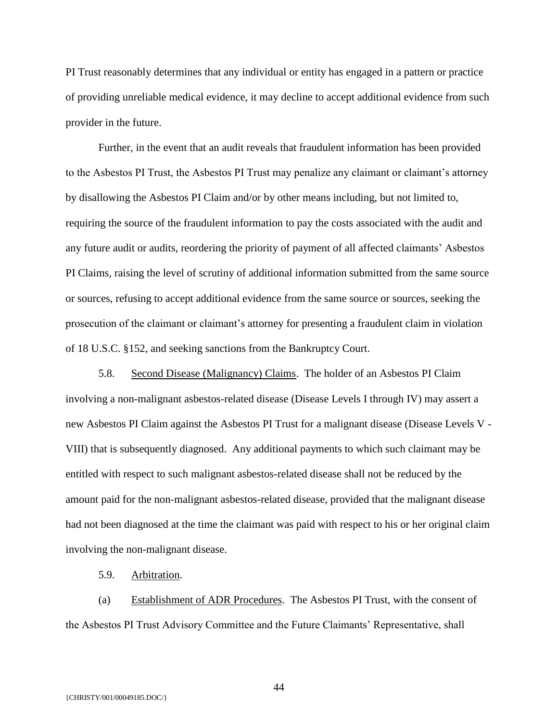PI Trust reasonably determines that any individual or entity has engaged in a pattern or practice of providing unreliable medical evidence, it may decline to accept additional evidence from such provider in the future.

Further, in the event that an audit reveals that fraudulent information has been provided to the Asbestos PI Trust, the Asbestos PI Trust may penalize any claimant or claimant's attorney by disallowing the Asbestos PI Claim and/or by other means including, but not limited to, requiring the source of the fraudulent information to pay the costs associated with the audit and any future audit or audits, reordering the priority of payment of all affected claimants' Asbestos PI Claims, raising the level of scrutiny of additional information submitted from the same source or sources, refusing to accept additional evidence from the same source or sources, seeking the prosecution of the claimant or claimant's attorney for presenting a fraudulent claim in violation of 18 U.S.C. §152, and seeking sanctions from the Bankruptcy Court.

5.8. Second Disease (Malignancy) Claims. The holder of an Asbestos PI Claim involving a non-malignant asbestos-related disease (Disease Levels I through IV) may assert a new Asbestos PI Claim against the Asbestos PI Trust for a malignant disease (Disease Levels V - VIII) that is subsequently diagnosed. Any additional payments to which such claimant may be entitled with respect to such malignant asbestos-related disease shall not be reduced by the amount paid for the non-malignant asbestos-related disease, provided that the malignant disease had not been diagnosed at the time the claimant was paid with respect to his or her original claim involving the non-malignant disease.

#### 5.9. Arbitration.

(a) Establishment of ADR Procedures. The Asbestos PI Trust, with the consent of the Asbestos PI Trust Advisory Committee and the Future Claimants' Representative, shall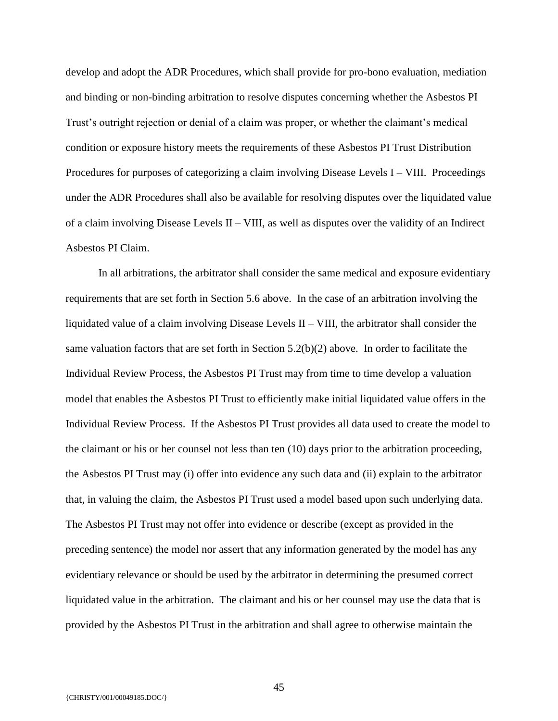develop and adopt the ADR Procedures, which shall provide for pro-bono evaluation, mediation and binding or non-binding arbitration to resolve disputes concerning whether the Asbestos PI Trust's outright rejection or denial of a claim was proper, or whether the claimant's medical condition or exposure history meets the requirements of these Asbestos PI Trust Distribution Procedures for purposes of categorizing a claim involving Disease Levels I – VIII. Proceedings under the ADR Procedures shall also be available for resolving disputes over the liquidated value of a claim involving Disease Levels  $II - VIII$ , as well as disputes over the validity of an Indirect Asbestos PI Claim.

In all arbitrations, the arbitrator shall consider the same medical and exposure evidentiary requirements that are set forth in Section 5.6 above. In the case of an arbitration involving the liquidated value of a claim involving Disease Levels II – VIII, the arbitrator shall consider the same valuation factors that are set forth in Section  $5.2(b)(2)$  above. In order to facilitate the Individual Review Process, the Asbestos PI Trust may from time to time develop a valuation model that enables the Asbestos PI Trust to efficiently make initial liquidated value offers in the Individual Review Process. If the Asbestos PI Trust provides all data used to create the model to the claimant or his or her counsel not less than ten (10) days prior to the arbitration proceeding, the Asbestos PI Trust may (i) offer into evidence any such data and (ii) explain to the arbitrator that, in valuing the claim, the Asbestos PI Trust used a model based upon such underlying data. The Asbestos PI Trust may not offer into evidence or describe (except as provided in the preceding sentence) the model nor assert that any information generated by the model has any evidentiary relevance or should be used by the arbitrator in determining the presumed correct liquidated value in the arbitration. The claimant and his or her counsel may use the data that is provided by the Asbestos PI Trust in the arbitration and shall agree to otherwise maintain the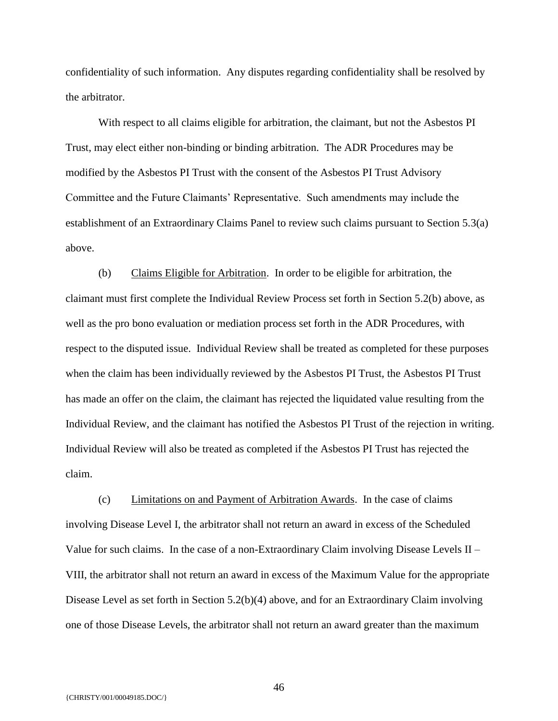confidentiality of such information. Any disputes regarding confidentiality shall be resolved by the arbitrator.

With respect to all claims eligible for arbitration, the claimant, but not the Asbestos PI Trust, may elect either non-binding or binding arbitration. The ADR Procedures may be modified by the Asbestos PI Trust with the consent of the Asbestos PI Trust Advisory Committee and the Future Claimants' Representative. Such amendments may include the establishment of an Extraordinary Claims Panel to review such claims pursuant to Section 5.3(a) above.

(b) Claims Eligible for Arbitration. In order to be eligible for arbitration, the claimant must first complete the Individual Review Process set forth in Section 5.2(b) above, as well as the pro bono evaluation or mediation process set forth in the ADR Procedures, with respect to the disputed issue. Individual Review shall be treated as completed for these purposes when the claim has been individually reviewed by the Asbestos PI Trust, the Asbestos PI Trust has made an offer on the claim, the claimant has rejected the liquidated value resulting from the Individual Review, and the claimant has notified the Asbestos PI Trust of the rejection in writing. Individual Review will also be treated as completed if the Asbestos PI Trust has rejected the claim.

(c) Limitations on and Payment of Arbitration Awards. In the case of claims involving Disease Level I, the arbitrator shall not return an award in excess of the Scheduled Value for such claims. In the case of a non-Extraordinary Claim involving Disease Levels II – VIII, the arbitrator shall not return an award in excess of the Maximum Value for the appropriate Disease Level as set forth in Section 5.2(b)(4) above, and for an Extraordinary Claim involving one of those Disease Levels, the arbitrator shall not return an award greater than the maximum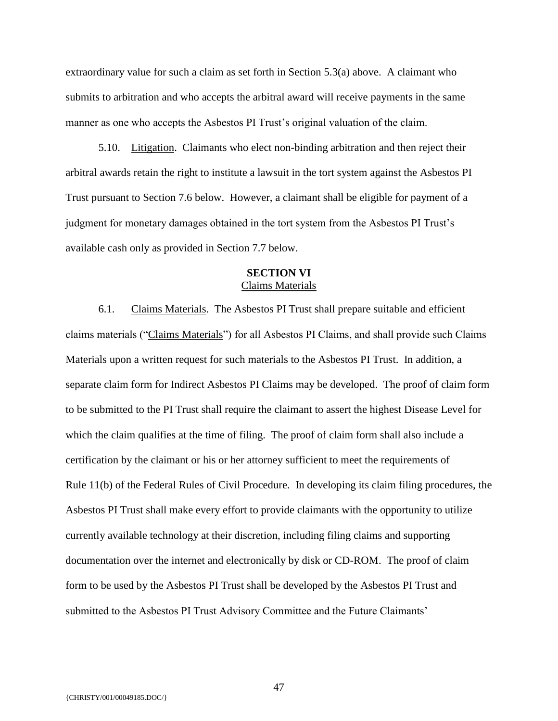extraordinary value for such a claim as set forth in Section 5.3(a) above. A claimant who submits to arbitration and who accepts the arbitral award will receive payments in the same manner as one who accepts the Asbestos PI Trust's original valuation of the claim.

5.10. Litigation. Claimants who elect non-binding arbitration and then reject their arbitral awards retain the right to institute a lawsuit in the tort system against the Asbestos PI Trust pursuant to Section 7.6 below. However, a claimant shall be eligible for payment of a judgment for monetary damages obtained in the tort system from the Asbestos PI Trust's available cash only as provided in Section 7.7 below.

## **SECTION VI** Claims Materials

6.1. Claims Materials. The Asbestos PI Trust shall prepare suitable and efficient claims materials ("Claims Materials") for all Asbestos PI Claims, and shall provide such Claims Materials upon a written request for such materials to the Asbestos PI Trust. In addition, a separate claim form for Indirect Asbestos PI Claims may be developed. The proof of claim form to be submitted to the PI Trust shall require the claimant to assert the highest Disease Level for which the claim qualifies at the time of filing. The proof of claim form shall also include a certification by the claimant or his or her attorney sufficient to meet the requirements of Rule 11(b) of the Federal Rules of Civil Procedure. In developing its claim filing procedures, the Asbestos PI Trust shall make every effort to provide claimants with the opportunity to utilize currently available technology at their discretion, including filing claims and supporting documentation over the internet and electronically by disk or CD-ROM. The proof of claim form to be used by the Asbestos PI Trust shall be developed by the Asbestos PI Trust and submitted to the Asbestos PI Trust Advisory Committee and the Future Claimants'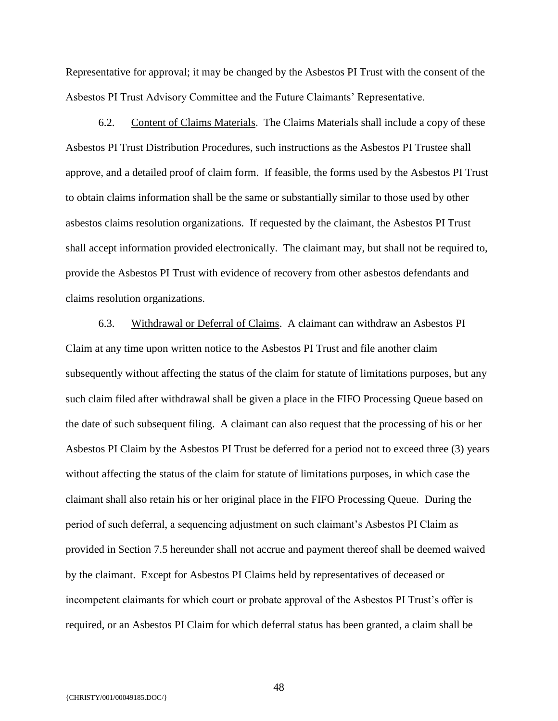Representative for approval; it may be changed by the Asbestos PI Trust with the consent of the Asbestos PI Trust Advisory Committee and the Future Claimants' Representative.

6.2. Content of Claims Materials. The Claims Materials shall include a copy of these Asbestos PI Trust Distribution Procedures, such instructions as the Asbestos PI Trustee shall approve, and a detailed proof of claim form. If feasible, the forms used by the Asbestos PI Trust to obtain claims information shall be the same or substantially similar to those used by other asbestos claims resolution organizations. If requested by the claimant, the Asbestos PI Trust shall accept information provided electronically. The claimant may, but shall not be required to, provide the Asbestos PI Trust with evidence of recovery from other asbestos defendants and claims resolution organizations.

6.3. Withdrawal or Deferral of Claims. A claimant can withdraw an Asbestos PI Claim at any time upon written notice to the Asbestos PI Trust and file another claim subsequently without affecting the status of the claim for statute of limitations purposes, but any such claim filed after withdrawal shall be given a place in the FIFO Processing Queue based on the date of such subsequent filing. A claimant can also request that the processing of his or her Asbestos PI Claim by the Asbestos PI Trust be deferred for a period not to exceed three (3) years without affecting the status of the claim for statute of limitations purposes, in which case the claimant shall also retain his or her original place in the FIFO Processing Queue. During the period of such deferral, a sequencing adjustment on such claimant's Asbestos PI Claim as provided in Section 7.5 hereunder shall not accrue and payment thereof shall be deemed waived by the claimant. Except for Asbestos PI Claims held by representatives of deceased or incompetent claimants for which court or probate approval of the Asbestos PI Trust's offer is required, or an Asbestos PI Claim for which deferral status has been granted, a claim shall be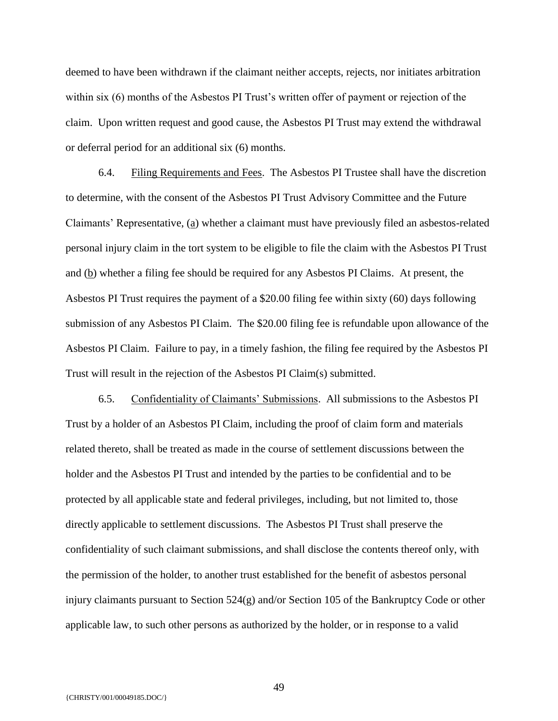deemed to have been withdrawn if the claimant neither accepts, rejects, nor initiates arbitration within six (6) months of the Asbestos PI Trust's written offer of payment or rejection of the claim. Upon written request and good cause, the Asbestos PI Trust may extend the withdrawal or deferral period for an additional six (6) months.

6.4. Filing Requirements and Fees. The Asbestos PI Trustee shall have the discretion to determine, with the consent of the Asbestos PI Trust Advisory Committee and the Future Claimants' Representative, (a) whether a claimant must have previously filed an asbestos-related personal injury claim in the tort system to be eligible to file the claim with the Asbestos PI Trust and (b) whether a filing fee should be required for any Asbestos PI Claims. At present, the Asbestos PI Trust requires the payment of a \$20.00 filing fee within sixty (60) days following submission of any Asbestos PI Claim. The \$20.00 filing fee is refundable upon allowance of the Asbestos PI Claim. Failure to pay, in a timely fashion, the filing fee required by the Asbestos PI Trust will result in the rejection of the Asbestos PI Claim(s) submitted.

6.5. Confidentiality of Claimants' Submissions. All submissions to the Asbestos PI Trust by a holder of an Asbestos PI Claim, including the proof of claim form and materials related thereto, shall be treated as made in the course of settlement discussions between the holder and the Asbestos PI Trust and intended by the parties to be confidential and to be protected by all applicable state and federal privileges, including, but not limited to, those directly applicable to settlement discussions. The Asbestos PI Trust shall preserve the confidentiality of such claimant submissions, and shall disclose the contents thereof only, with the permission of the holder, to another trust established for the benefit of asbestos personal injury claimants pursuant to Section 524(g) and/or Section 105 of the Bankruptcy Code or other applicable law, to such other persons as authorized by the holder, or in response to a valid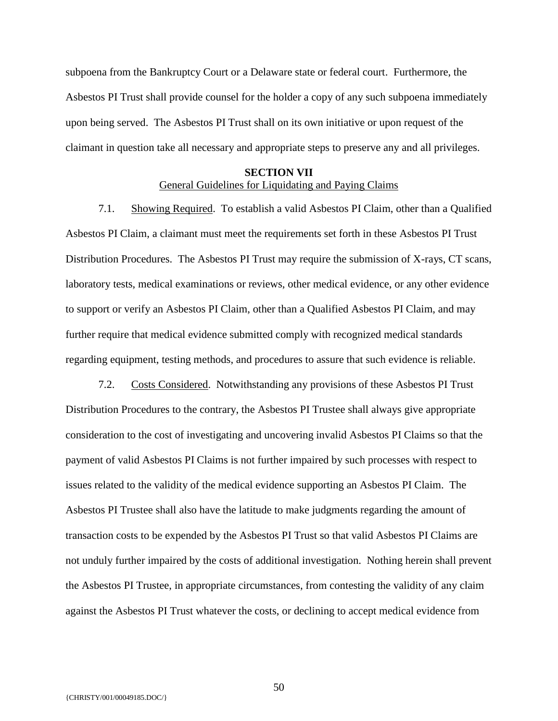subpoena from the Bankruptcy Court or a Delaware state or federal court. Furthermore, the Asbestos PI Trust shall provide counsel for the holder a copy of any such subpoena immediately upon being served. The Asbestos PI Trust shall on its own initiative or upon request of the claimant in question take all necessary and appropriate steps to preserve any and all privileges.

## **SECTION VII**

## General Guidelines for Liquidating and Paying Claims

7.1. Showing Required. To establish a valid Asbestos PI Claim, other than a Qualified Asbestos PI Claim, a claimant must meet the requirements set forth in these Asbestos PI Trust Distribution Procedures. The Asbestos PI Trust may require the submission of X-rays, CT scans, laboratory tests, medical examinations or reviews, other medical evidence, or any other evidence to support or verify an Asbestos PI Claim, other than a Qualified Asbestos PI Claim, and may further require that medical evidence submitted comply with recognized medical standards regarding equipment, testing methods, and procedures to assure that such evidence is reliable.

7.2. Costs Considered. Notwithstanding any provisions of these Asbestos PI Trust Distribution Procedures to the contrary, the Asbestos PI Trustee shall always give appropriate consideration to the cost of investigating and uncovering invalid Asbestos PI Claims so that the payment of valid Asbestos PI Claims is not further impaired by such processes with respect to issues related to the validity of the medical evidence supporting an Asbestos PI Claim. The Asbestos PI Trustee shall also have the latitude to make judgments regarding the amount of transaction costs to be expended by the Asbestos PI Trust so that valid Asbestos PI Claims are not unduly further impaired by the costs of additional investigation. Nothing herein shall prevent the Asbestos PI Trustee, in appropriate circumstances, from contesting the validity of any claim against the Asbestos PI Trust whatever the costs, or declining to accept medical evidence from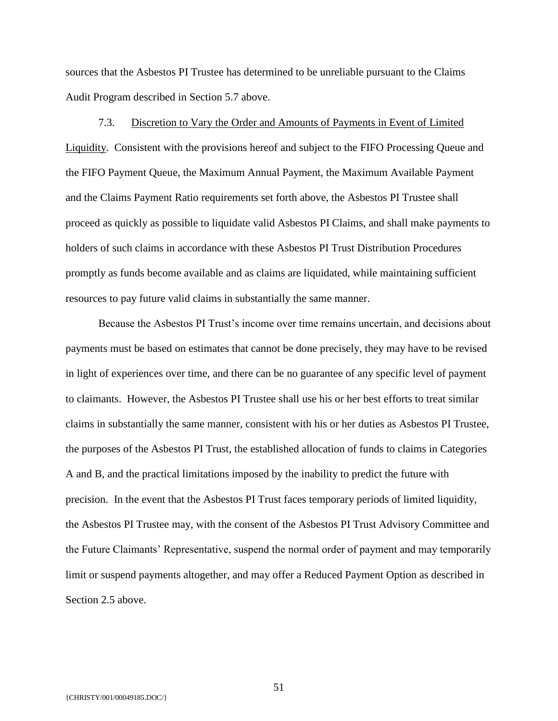sources that the Asbestos PI Trustee has determined to be unreliable pursuant to the Claims Audit Program described in Section 5.7 above.

7.3. Discretion to Vary the Order and Amounts of Payments in Event of Limited Liquidity. Consistent with the provisions hereof and subject to the FIFO Processing Queue and the FIFO Payment Queue, the Maximum Annual Payment, the Maximum Available Payment and the Claims Payment Ratio requirements set forth above, the Asbestos PI Trustee shall proceed as quickly as possible to liquidate valid Asbestos PI Claims, and shall make payments to holders of such claims in accordance with these Asbestos PI Trust Distribution Procedures promptly as funds become available and as claims are liquidated, while maintaining sufficient resources to pay future valid claims in substantially the same manner.

Because the Asbestos PI Trust's income over time remains uncertain, and decisions about payments must be based on estimates that cannot be done precisely, they may have to be revised in light of experiences over time, and there can be no guarantee of any specific level of payment to claimants. However, the Asbestos PI Trustee shall use his or her best efforts to treat similar claims in substantially the same manner, consistent with his or her duties as Asbestos PI Trustee, the purposes of the Asbestos PI Trust, the established allocation of funds to claims in Categories A and B, and the practical limitations imposed by the inability to predict the future with precision. In the event that the Asbestos PI Trust faces temporary periods of limited liquidity, the Asbestos PI Trustee may, with the consent of the Asbestos PI Trust Advisory Committee and the Future Claimants' Representative, suspend the normal order of payment and may temporarily limit or suspend payments altogether, and may offer a Reduced Payment Option as described in Section 2.5 above.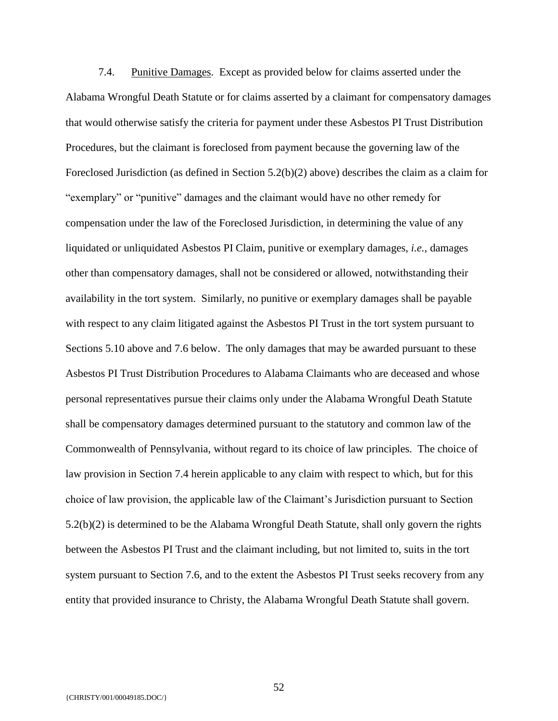7.4. Punitive Damages. Except as provided below for claims asserted under the Alabama Wrongful Death Statute or for claims asserted by a claimant for compensatory damages that would otherwise satisfy the criteria for payment under these Asbestos PI Trust Distribution Procedures, but the claimant is foreclosed from payment because the governing law of the Foreclosed Jurisdiction (as defined in Section 5.2(b)(2) above) describes the claim as a claim for "exemplary" or "punitive" damages and the claimant would have no other remedy for compensation under the law of the Foreclosed Jurisdiction, in determining the value of any liquidated or unliquidated Asbestos PI Claim, punitive or exemplary damages, *i.e.*, damages other than compensatory damages, shall not be considered or allowed, notwithstanding their availability in the tort system. Similarly, no punitive or exemplary damages shall be payable with respect to any claim litigated against the Asbestos PI Trust in the tort system pursuant to Sections 5.10 above and 7.6 below. The only damages that may be awarded pursuant to these Asbestos PI Trust Distribution Procedures to Alabama Claimants who are deceased and whose personal representatives pursue their claims only under the Alabama Wrongful Death Statute shall be compensatory damages determined pursuant to the statutory and common law of the Commonwealth of Pennsylvania, without regard to its choice of law principles. The choice of law provision in Section 7.4 herein applicable to any claim with respect to which, but for this choice of law provision, the applicable law of the Claimant's Jurisdiction pursuant to Section 5.2(b)(2) is determined to be the Alabama Wrongful Death Statute, shall only govern the rights between the Asbestos PI Trust and the claimant including, but not limited to, suits in the tort system pursuant to Section 7.6, and to the extent the Asbestos PI Trust seeks recovery from any entity that provided insurance to Christy, the Alabama Wrongful Death Statute shall govern.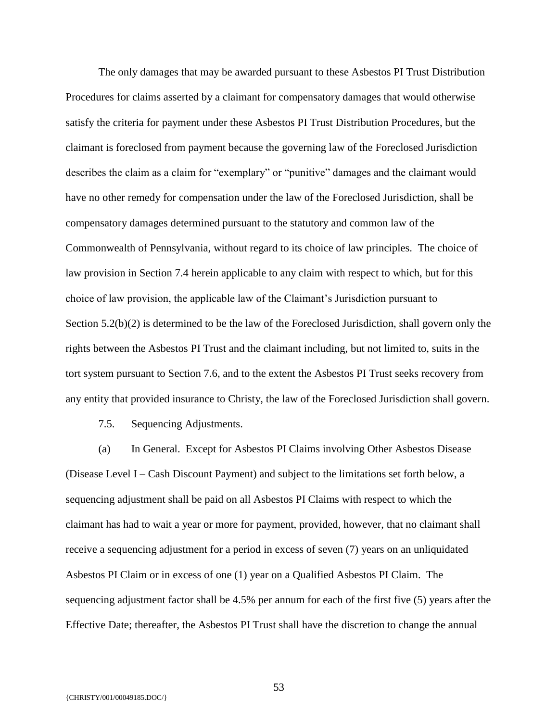The only damages that may be awarded pursuant to these Asbestos PI Trust Distribution Procedures for claims asserted by a claimant for compensatory damages that would otherwise satisfy the criteria for payment under these Asbestos PI Trust Distribution Procedures, but the claimant is foreclosed from payment because the governing law of the Foreclosed Jurisdiction describes the claim as a claim for "exemplary" or "punitive" damages and the claimant would have no other remedy for compensation under the law of the Foreclosed Jurisdiction, shall be compensatory damages determined pursuant to the statutory and common law of the Commonwealth of Pennsylvania, without regard to its choice of law principles. The choice of law provision in Section 7.4 herein applicable to any claim with respect to which, but for this choice of law provision, the applicable law of the Claimant's Jurisdiction pursuant to Section 5.2(b)(2) is determined to be the law of the Foreclosed Jurisdiction, shall govern only the rights between the Asbestos PI Trust and the claimant including, but not limited to, suits in the tort system pursuant to Section 7.6, and to the extent the Asbestos PI Trust seeks recovery from any entity that provided insurance to Christy, the law of the Foreclosed Jurisdiction shall govern.

7.5. Sequencing Adjustments.

(a) In General. Except for Asbestos PI Claims involving Other Asbestos Disease (Disease Level I – Cash Discount Payment) and subject to the limitations set forth below, a sequencing adjustment shall be paid on all Asbestos PI Claims with respect to which the claimant has had to wait a year or more for payment, provided, however, that no claimant shall receive a sequencing adjustment for a period in excess of seven (7) years on an unliquidated Asbestos PI Claim or in excess of one (1) year on a Qualified Asbestos PI Claim. The sequencing adjustment factor shall be 4.5% per annum for each of the first five (5) years after the Effective Date; thereafter, the Asbestos PI Trust shall have the discretion to change the annual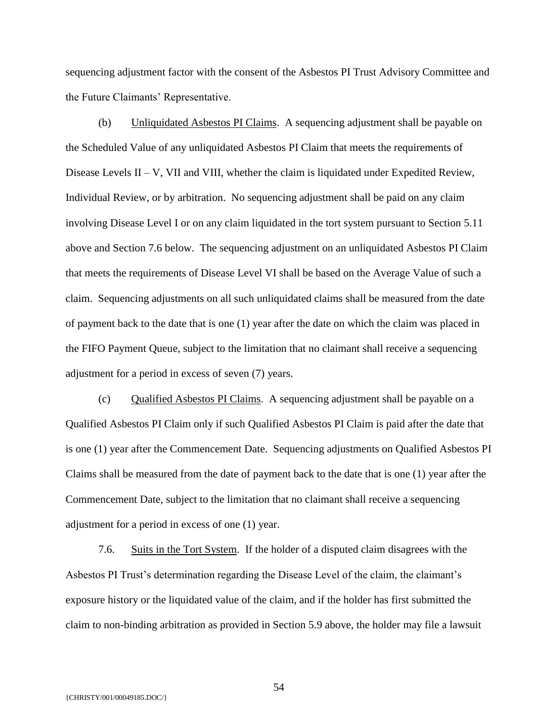sequencing adjustment factor with the consent of the Asbestos PI Trust Advisory Committee and the Future Claimants' Representative.

(b) Unliquidated Asbestos PI Claims. A sequencing adjustment shall be payable on the Scheduled Value of any unliquidated Asbestos PI Claim that meets the requirements of Disease Levels II – V, VII and VIII, whether the claim is liquidated under Expedited Review, Individual Review, or by arbitration. No sequencing adjustment shall be paid on any claim involving Disease Level I or on any claim liquidated in the tort system pursuant to Section 5.11 above and Section 7.6 below. The sequencing adjustment on an unliquidated Asbestos PI Claim that meets the requirements of Disease Level VI shall be based on the Average Value of such a claim. Sequencing adjustments on all such unliquidated claims shall be measured from the date of payment back to the date that is one (1) year after the date on which the claim was placed in the FIFO Payment Queue, subject to the limitation that no claimant shall receive a sequencing adjustment for a period in excess of seven (7) years.

(c) Qualified Asbestos PI Claims. A sequencing adjustment shall be payable on a Qualified Asbestos PI Claim only if such Qualified Asbestos PI Claim is paid after the date that is one (1) year after the Commencement Date. Sequencing adjustments on Qualified Asbestos PI Claims shall be measured from the date of payment back to the date that is one (1) year after the Commencement Date, subject to the limitation that no claimant shall receive a sequencing adjustment for a period in excess of one (1) year.

7.6. Suits in the Tort System. If the holder of a disputed claim disagrees with the Asbestos PI Trust's determination regarding the Disease Level of the claim, the claimant's exposure history or the liquidated value of the claim, and if the holder has first submitted the claim to non-binding arbitration as provided in Section 5.9 above, the holder may file a lawsuit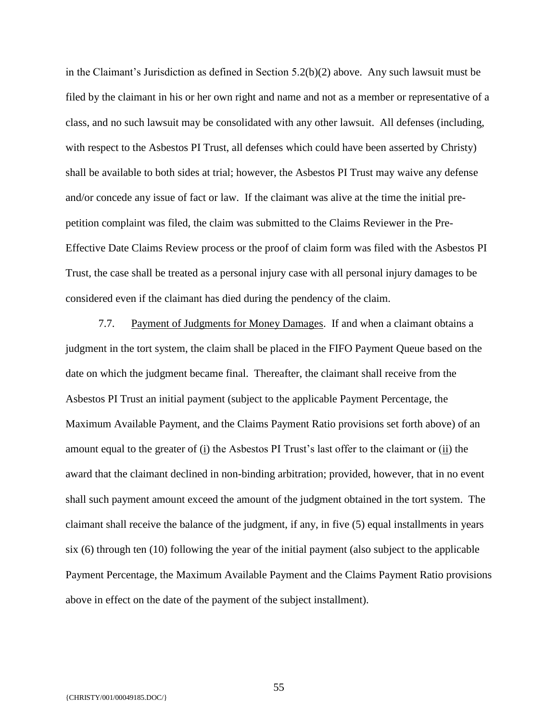in the Claimant's Jurisdiction as defined in Section 5.2(b)(2) above. Any such lawsuit must be filed by the claimant in his or her own right and name and not as a member or representative of a class, and no such lawsuit may be consolidated with any other lawsuit. All defenses (including, with respect to the Asbestos PI Trust, all defenses which could have been asserted by Christy) shall be available to both sides at trial; however, the Asbestos PI Trust may waive any defense and/or concede any issue of fact or law. If the claimant was alive at the time the initial prepetition complaint was filed, the claim was submitted to the Claims Reviewer in the Pre-Effective Date Claims Review process or the proof of claim form was filed with the Asbestos PI Trust, the case shall be treated as a personal injury case with all personal injury damages to be considered even if the claimant has died during the pendency of the claim.

7.7. Payment of Judgments for Money Damages. If and when a claimant obtains a judgment in the tort system, the claim shall be placed in the FIFO Payment Queue based on the date on which the judgment became final. Thereafter, the claimant shall receive from the Asbestos PI Trust an initial payment (subject to the applicable Payment Percentage, the Maximum Available Payment, and the Claims Payment Ratio provisions set forth above) of an amount equal to the greater of  $(i)$  the Asbestos PI Trust's last offer to the claimant or  $(ii)$  the award that the claimant declined in non-binding arbitration; provided, however, that in no event shall such payment amount exceed the amount of the judgment obtained in the tort system. The claimant shall receive the balance of the judgment, if any, in five (5) equal installments in years six (6) through ten (10) following the year of the initial payment (also subject to the applicable Payment Percentage, the Maximum Available Payment and the Claims Payment Ratio provisions above in effect on the date of the payment of the subject installment).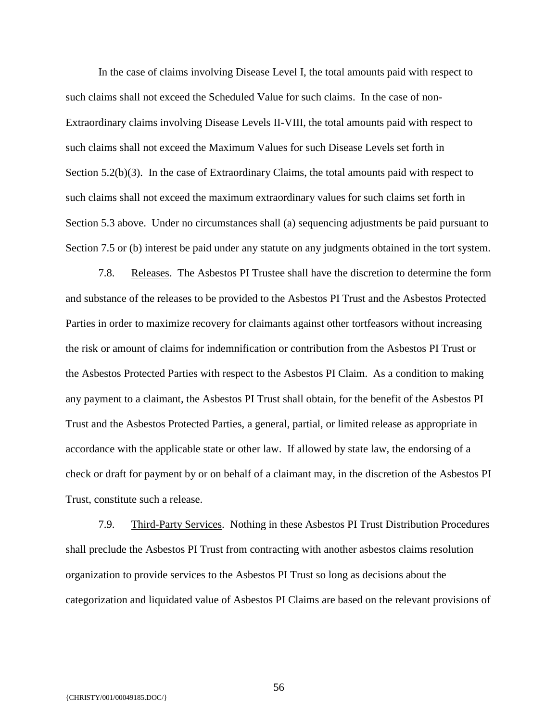In the case of claims involving Disease Level I, the total amounts paid with respect to such claims shall not exceed the Scheduled Value for such claims. In the case of non-Extraordinary claims involving Disease Levels II-VIII, the total amounts paid with respect to such claims shall not exceed the Maximum Values for such Disease Levels set forth in Section 5.2(b)(3). In the case of Extraordinary Claims, the total amounts paid with respect to such claims shall not exceed the maximum extraordinary values for such claims set forth in Section 5.3 above. Under no circumstances shall (a) sequencing adjustments be paid pursuant to Section 7.5 or (b) interest be paid under any statute on any judgments obtained in the tort system.

7.8. Releases. The Asbestos PI Trustee shall have the discretion to determine the form and substance of the releases to be provided to the Asbestos PI Trust and the Asbestos Protected Parties in order to maximize recovery for claimants against other tortfeasors without increasing the risk or amount of claims for indemnification or contribution from the Asbestos PI Trust or the Asbestos Protected Parties with respect to the Asbestos PI Claim. As a condition to making any payment to a claimant, the Asbestos PI Trust shall obtain, for the benefit of the Asbestos PI Trust and the Asbestos Protected Parties, a general, partial, or limited release as appropriate in accordance with the applicable state or other law. If allowed by state law, the endorsing of a check or draft for payment by or on behalf of a claimant may, in the discretion of the Asbestos PI Trust, constitute such a release.

7.9. Third-Party Services. Nothing in these Asbestos PI Trust Distribution Procedures shall preclude the Asbestos PI Trust from contracting with another asbestos claims resolution organization to provide services to the Asbestos PI Trust so long as decisions about the categorization and liquidated value of Asbestos PI Claims are based on the relevant provisions of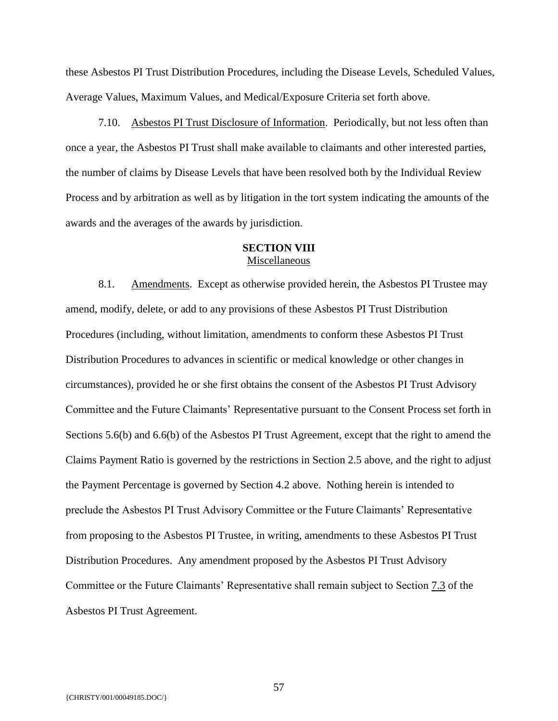these Asbestos PI Trust Distribution Procedures, including the Disease Levels, Scheduled Values, Average Values, Maximum Values, and Medical/Exposure Criteria set forth above.

7.10. Asbestos PI Trust Disclosure of Information. Periodically, but not less often than once a year, the Asbestos PI Trust shall make available to claimants and other interested parties, the number of claims by Disease Levels that have been resolved both by the Individual Review Process and by arbitration as well as by litigation in the tort system indicating the amounts of the awards and the averages of the awards by jurisdiction.

#### **SECTION VIII** Miscellaneous

8.1. Amendments. Except as otherwise provided herein, the Asbestos PI Trustee may amend, modify, delete, or add to any provisions of these Asbestos PI Trust Distribution Procedures (including, without limitation, amendments to conform these Asbestos PI Trust Distribution Procedures to advances in scientific or medical knowledge or other changes in circumstances), provided he or she first obtains the consent of the Asbestos PI Trust Advisory Committee and the Future Claimants' Representative pursuant to the Consent Process set forth in Sections 5.6(b) and 6.6(b) of the Asbestos PI Trust Agreement, except that the right to amend the Claims Payment Ratio is governed by the restrictions in Section 2.5 above, and the right to adjust the Payment Percentage is governed by Section 4.2 above. Nothing herein is intended to preclude the Asbestos PI Trust Advisory Committee or the Future Claimants' Representative from proposing to the Asbestos PI Trustee, in writing, amendments to these Asbestos PI Trust Distribution Procedures. Any amendment proposed by the Asbestos PI Trust Advisory Committee or the Future Claimants' Representative shall remain subject to Section 7.3 of the Asbestos PI Trust Agreement.